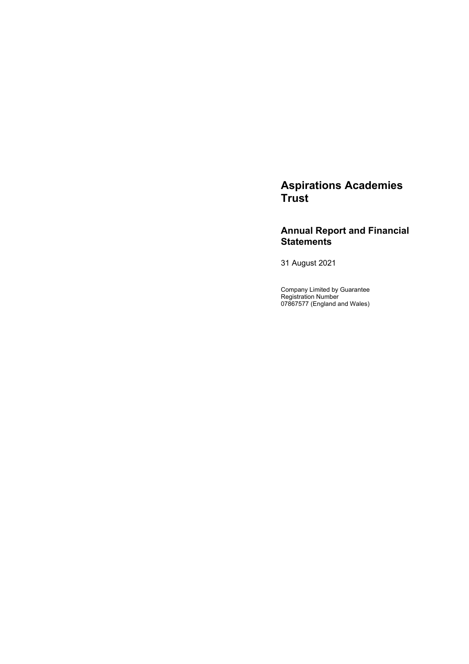# **Aspirations Academies Trust**

# **Annual Report and Financial Statements**

31 August 2021

Company Limited by Guarantee Registration Number 07867577 (England and Wales)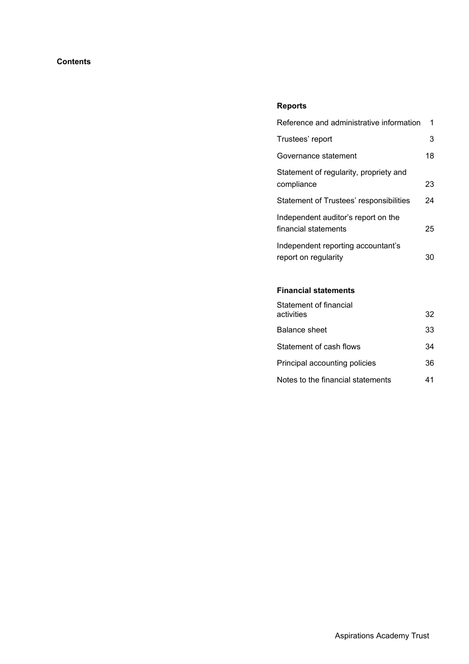# **Contents**

# **Reports**

| Reference and administrative information                    | 1  |
|-------------------------------------------------------------|----|
| Trustees' report                                            | 3  |
| Governance statement                                        | 18 |
| Statement of regularity, propriety and<br>compliance        | 23 |
| Statement of Trustees' responsibilities                     | 24 |
| Independent auditor's report on the<br>financial statements | 25 |
| Independent reporting accountant's<br>report on regularity  | 30 |

# **Financial statements**

| Statement of financial            |    |
|-----------------------------------|----|
| activities                        | 32 |
| Balance sheet                     | 33 |
| Statement of cash flows           | 34 |
| Principal accounting policies     | 36 |
| Notes to the financial statements | 41 |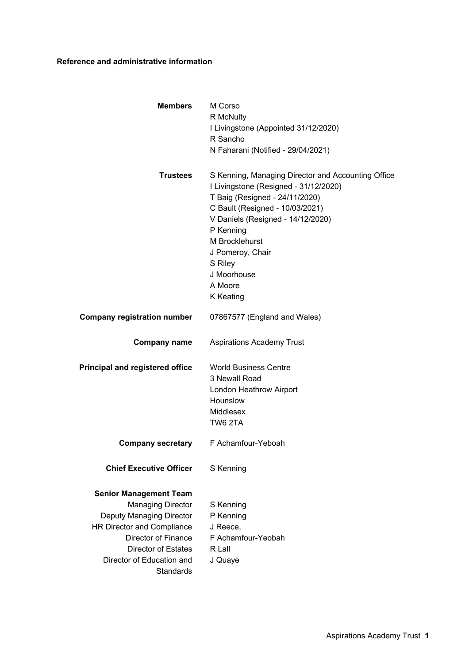# **Reference and administrative information**

| <b>Members</b>                                                                                                                                                                                                            | M Corso<br>R McNulty<br>I Livingstone (Appointed 31/12/2020)<br>R Sancho<br>N Faharani (Notified - 29/04/2021)                                                                                                                                                                                             |
|---------------------------------------------------------------------------------------------------------------------------------------------------------------------------------------------------------------------------|------------------------------------------------------------------------------------------------------------------------------------------------------------------------------------------------------------------------------------------------------------------------------------------------------------|
| <b>Trustees</b>                                                                                                                                                                                                           | S Kenning, Managing Director and Accounting Office<br>I Livingstone (Resigned - 31/12/2020)<br>T Baig (Resigned - 24/11/2020)<br>C Bault (Resigned - 10/03/2021)<br>V Daniels (Resigned - 14/12/2020)<br>P Kenning<br>M Brocklehurst<br>J Pomeroy, Chair<br>S Riley<br>J Moorhouse<br>A Moore<br>K Keating |
| <b>Company registration number</b>                                                                                                                                                                                        | 07867577 (England and Wales)                                                                                                                                                                                                                                                                               |
| <b>Company name</b>                                                                                                                                                                                                       | <b>Aspirations Academy Trust</b>                                                                                                                                                                                                                                                                           |
| <b>Principal and registered office</b>                                                                                                                                                                                    | <b>World Business Centre</b><br>3 Newall Road<br>London Heathrow Airport<br>Hounslow<br>Middlesex<br>TW6 2TA                                                                                                                                                                                               |
|                                                                                                                                                                                                                           | <b>Company secretary</b> F Achamfour-Yeboah                                                                                                                                                                                                                                                                |
| <b>Chief Executive Officer</b>                                                                                                                                                                                            | S Kenning                                                                                                                                                                                                                                                                                                  |
| <b>Senior Management Team</b><br><b>Managing Director</b><br>Deputy Managing Director<br>HR Director and Compliance<br>Director of Finance<br><b>Director of Estates</b><br>Director of Education and<br><b>Standards</b> | S Kenning<br>P Kenning<br>J Reece,<br>F Achamfour-Yeobah<br>R Lall<br>J Quaye                                                                                                                                                                                                                              |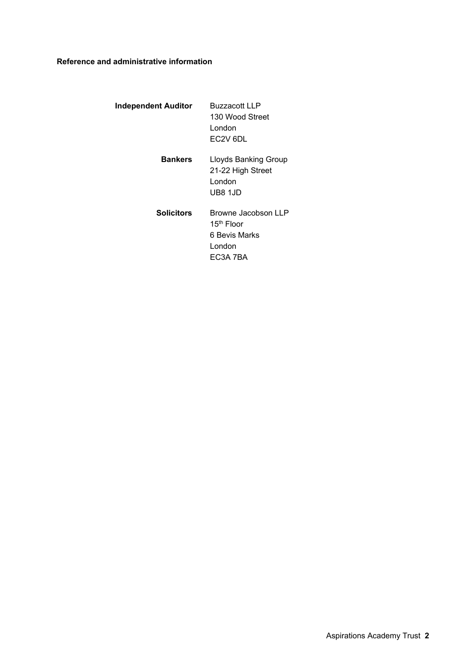# **Reference and administrative information**

| Independent Auditor | <b>Buzzacott LLP</b><br>130 Wood Street<br>I ondon<br>EC <sub>2V</sub> 6DL           |
|---------------------|--------------------------------------------------------------------------------------|
| <b>Bankers</b>      | <b>Lloyds Banking Group</b><br>21-22 High Street<br>London<br>UB8 1JD                |
| <b>Solicitors</b>   | Browne Jacobson LLP<br>15 <sup>th</sup> Floor<br>6 Bevis Marks<br>London<br>EC3A 7BA |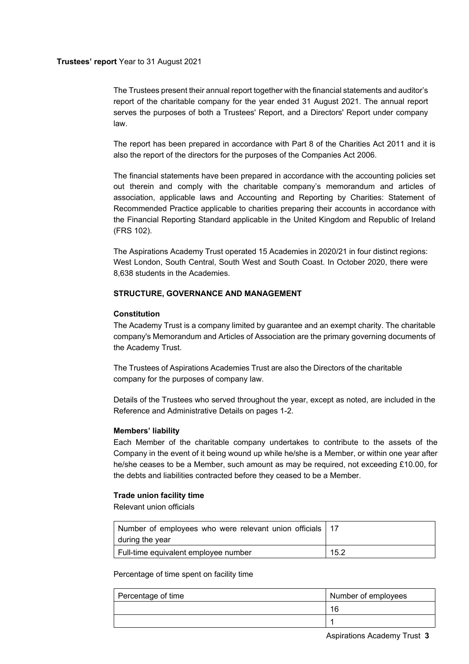# **Trustees' report** Year to 31 August 2021

The Trustees present their annual report together with the financial statements and auditor's report of the charitable company for the year ended 31 August 2021. The annual report serves the purposes of both a Trustees' Report, and a Directors' Report under company law.

The report has been prepared in accordance with Part 8 of the Charities Act 2011 and it is also the report of the directors for the purposes of the Companies Act 2006.

The financial statements have been prepared in accordance with the accounting policies set out therein and comply with the charitable company's memorandum and articles of association, applicable laws and Accounting and Reporting by Charities: Statement of Recommended Practice applicable to charities preparing their accounts in accordance with the Financial Reporting Standard applicable in the United Kingdom and Republic of Ireland (FRS 102).

The Aspirations Academy Trust operated 15 Academies in 2020/21 in four distinct regions: West London, South Central, South West and South Coast. In October 2020, there were 8,638 students in the Academies.

# **STRUCTURE, GOVERNANCE AND MANAGEMENT**

# **Constitution**

The Academy Trust is a company limited by guarantee and an exempt charity. The charitable company's Memorandum and Articles of Association are the primary governing documents of the Academy Trust.

The Trustees of Aspirations Academies Trust are also the Directors of the charitable company for the purposes of company law.

Details of the Trustees who served throughout the year, except as noted, are included in the Reference and Administrative Details on pages 1-2.

### **Members' liability**

Each Member of the charitable company undertakes to contribute to the assets of the Company in the event of it being wound up while he/she is a Member, or within one year after he/she ceases to be a Member, such amount as may be required, not exceeding £10.00, for the debts and liabilities contracted before they ceased to be a Member.

### **Trade union facility time**

Relevant union officials

| Number of employees who were relevant union officials   17<br>during the year |      |
|-------------------------------------------------------------------------------|------|
| Full-time equivalent employee number                                          | 15.2 |

Percentage of time spent on facility time

| Percentage of time | Number of employees |
|--------------------|---------------------|
|                    | 16                  |
|                    |                     |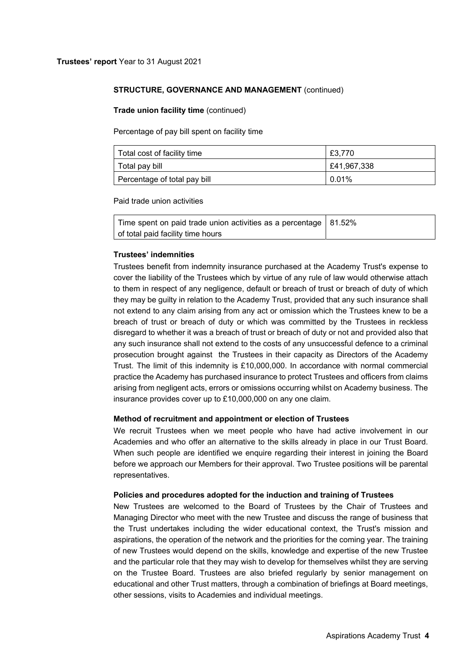### **Trade union facility time** (continued)

Percentage of pay bill spent on facility time

| Total cost of facility time  | £3.770      |
|------------------------------|-------------|
| Total pay bill               | £41,967,338 |
| Percentage of total pay bill | $0.01\%$    |

Paid trade union activities

| Time spent on paid trade union activities as a percentage   81.52% |  |
|--------------------------------------------------------------------|--|
| of total paid facility time hours                                  |  |

### **Trustees' indemnities**

Trustees benefit from indemnity insurance purchased at the Academy Trust's expense to cover the liability of the Trustees which by virtue of any rule of law would otherwise attach to them in respect of any negligence, default or breach of trust or breach of duty of which they may be guilty in relation to the Academy Trust, provided that any such insurance shall not extend to any claim arising from any act or omission which the Trustees knew to be a breach of trust or breach of duty or which was committed by the Trustees in reckless disregard to whether it was a breach of trust or breach of duty or not and provided also that any such insurance shall not extend to the costs of any unsuccessful defence to a criminal prosecution brought against the Trustees in their capacity as Directors of the Academy Trust. The limit of this indemnity is £10,000,000. In accordance with normal commercial practice the Academy has purchased insurance to protect Trustees and officers from claims arising from negligent acts, errors or omissions occurring whilst on Academy business. The insurance provides cover up to £10,000,000 on any one claim.

### **Method of recruitment and appointment or election of Trustees**

We recruit Trustees when we meet people who have had active involvement in our Academies and who offer an alternative to the skills already in place in our Trust Board. When such people are identified we enquire regarding their interest in joining the Board before we approach our Members for their approval. Two Trustee positions will be parental representatives.

### **Policies and procedures adopted for the induction and training of Trustees**

New Trustees are welcomed to the Board of Trustees by the Chair of Trustees and Managing Director who meet with the new Trustee and discuss the range of business that the Trust undertakes including the wider educational context, the Trust's mission and aspirations, the operation of the network and the priorities for the coming year. The training of new Trustees would depend on the skills, knowledge and expertise of the new Trustee and the particular role that they may wish to develop for themselves whilst they are serving on the Trustee Board. Trustees are also briefed regularly by senior management on educational and other Trust matters, through a combination of briefings at Board meetings, other sessions, visits to Academies and individual meetings.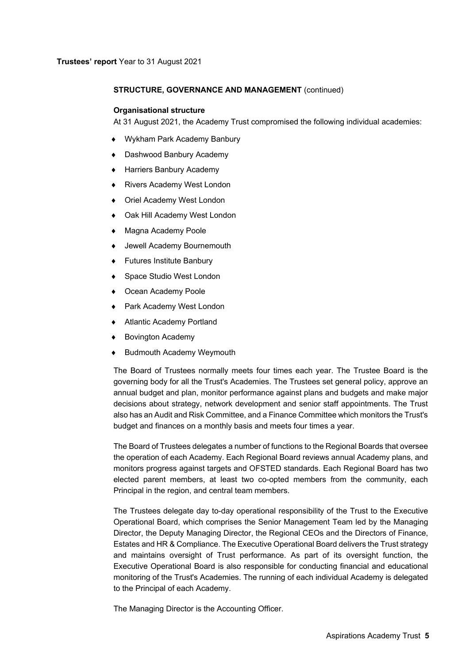#### **Organisational structure**

At 31 August 2021, the Academy Trust compromised the following individual academies:

- Wykham Park Academy Banbury
- Dashwood Banbury Academy
- ◆ Harriers Banbury Academy
- Rivers Academy West London
- Oriel Academy West London
- Oak Hill Academy West London
- Magna Academy Poole
- Jewell Academy Bournemouth
- ◆ Futures Institute Banbury
- Space Studio West London
- ◆ Ocean Academy Poole
- Park Academy West London
- Atlantic Academy Portland
- ◆ Bovington Academy
- Budmouth Academy Weymouth

The Board of Trustees normally meets four times each year. The Trustee Board is the governing body for all the Trust's Academies. The Trustees set general policy, approve an annual budget and plan, monitor performance against plans and budgets and make major decisions about strategy, network development and senior staff appointments. The Trust also has an Audit and Risk Committee, and a Finance Committee which monitors the Trust's budget and finances on a monthly basis and meets four times a year.

The Board of Trustees delegates a number of functions to the Regional Boards that oversee the operation of each Academy. Each Regional Board reviews annual Academy plans, and monitors progress against targets and OFSTED standards. Each Regional Board has two elected parent members, at least two co-opted members from the community, each Principal in the region, and central team members.

The Trustees delegate day to-day operational responsibility of the Trust to the Executive Operational Board, which comprises the Senior Management Team led by the Managing Director, the Deputy Managing Director, the Regional CEOs and the Directors of Finance, Estates and HR & Compliance. The Executive Operational Board delivers the Trust strategy and maintains oversight of Trust performance. As part of its oversight function, the Executive Operational Board is also responsible for conducting financial and educational monitoring of the Trust's Academies. The running of each individual Academy is delegated to the Principal of each Academy.

The Managing Director is the Accounting Officer.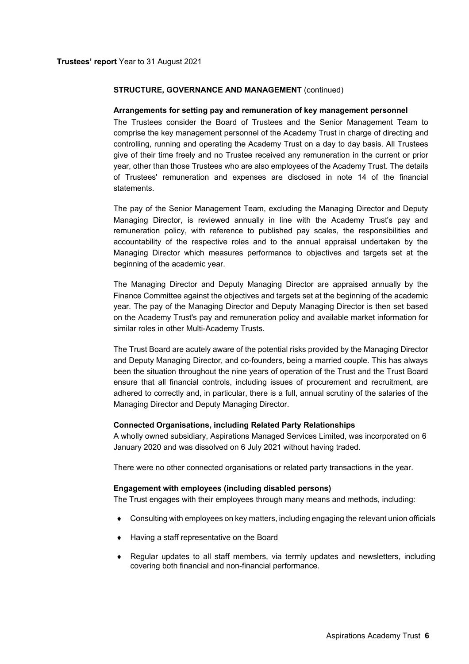#### **Arrangements for setting pay and remuneration of key management personnel**

The Trustees consider the Board of Trustees and the Senior Management Team to comprise the key management personnel of the Academy Trust in charge of directing and controlling, running and operating the Academy Trust on a day to day basis. All Trustees give of their time freely and no Trustee received any remuneration in the current or prior year, other than those Trustees who are also employees of the Academy Trust. The details of Trustees' remuneration and expenses are disclosed in note 14 of the financial statements.

The pay of the Senior Management Team, excluding the Managing Director and Deputy Managing Director, is reviewed annually in line with the Academy Trust's pay and remuneration policy, with reference to published pay scales, the responsibilities and accountability of the respective roles and to the annual appraisal undertaken by the Managing Director which measures performance to objectives and targets set at the beginning of the academic year.

The Managing Director and Deputy Managing Director are appraised annually by the Finance Committee against the objectives and targets set at the beginning of the academic year. The pay of the Managing Director and Deputy Managing Director is then set based on the Academy Trust's pay and remuneration policy and available market information for similar roles in other Multi-Academy Trusts.

The Trust Board are acutely aware of the potential risks provided by the Managing Director and Deputy Managing Director, and co-founders, being a married couple. This has always been the situation throughout the nine years of operation of the Trust and the Trust Board ensure that all financial controls, including issues of procurement and recruitment, are adhered to correctly and, in particular, there is a full, annual scrutiny of the salaries of the Managing Director and Deputy Managing Director.

#### **Connected Organisations, including Related Party Relationships**

A wholly owned subsidiary, Aspirations Managed Services Limited, was incorporated on 6 January 2020 and was dissolved on 6 July 2021 without having traded.

There were no other connected organisations or related party transactions in the year.

### **Engagement with employees (including disabled persons)**

The Trust engages with their employees through many means and methods, including:

- Consulting with employees on key matters, including engaging the relevant union officials
- ◆ Having a staff representative on the Board
- Regular updates to all staff members, via termly updates and newsletters, including covering both financial and non-financial performance.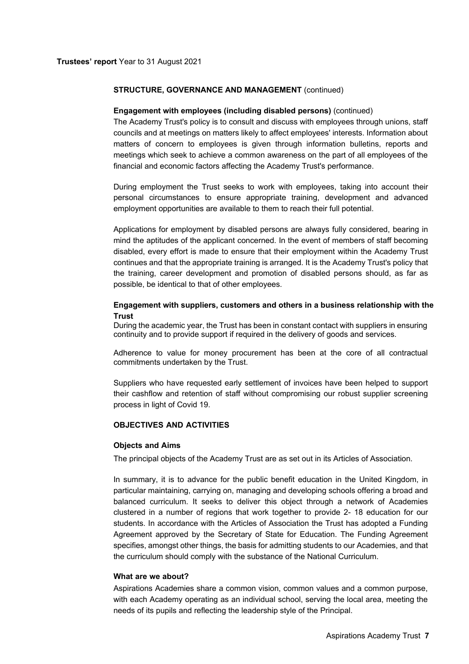### **Engagement with employees (including disabled persons)** (continued)

The Academy Trust's policy is to consult and discuss with employees through unions, staff councils and at meetings on matters likely to affect employees' interests. Information about matters of concern to employees is given through information bulletins, reports and meetings which seek to achieve a common awareness on the part of all employees of the financial and economic factors affecting the Academy Trust's performance.

During employment the Trust seeks to work with employees, taking into account their personal circumstances to ensure appropriate training, development and advanced employment opportunities are available to them to reach their full potential.

Applications for employment by disabled persons are always fully considered, bearing in mind the aptitudes of the applicant concerned. In the event of members of staff becoming disabled, every effort is made to ensure that their employment within the Academy Trust continues and that the appropriate training is arranged. It is the Academy Trust's policy that the training, career development and promotion of disabled persons should, as far as possible, be identical to that of other employees.

# **Engagement with suppliers, customers and others in a business relationship with the Trust**

During the academic year, the Trust has been in constant contact with suppliers in ensuring continuity and to provide support if required in the delivery of goods and services.

Adherence to value for money procurement has been at the core of all contractual commitments undertaken by the Trust.

Suppliers who have requested early settlement of invoices have been helped to support their cashflow and retention of staff without compromising our robust supplier screening process in light of Covid 19.

### **OBJECTIVES AND ACTIVITIES**

### **Objects and Aims**

The principal objects of the Academy Trust are as set out in its Articles of Association.

In summary, it is to advance for the public benefit education in the United Kingdom, in particular maintaining, carrying on, managing and developing schools offering a broad and balanced curriculum. It seeks to deliver this object through a network of Academies clustered in a number of regions that work together to provide 2- 18 education for our students. In accordance with the Articles of Association the Trust has adopted a Funding Agreement approved by the Secretary of State for Education. The Funding Agreement specifies, amongst other things, the basis for admitting students to our Academies, and that the curriculum should comply with the substance of the National Curriculum.

### **What are we about?**

Aspirations Academies share a common vision, common values and a common purpose, with each Academy operating as an individual school, serving the local area, meeting the needs of its pupils and reflecting the leadership style of the Principal.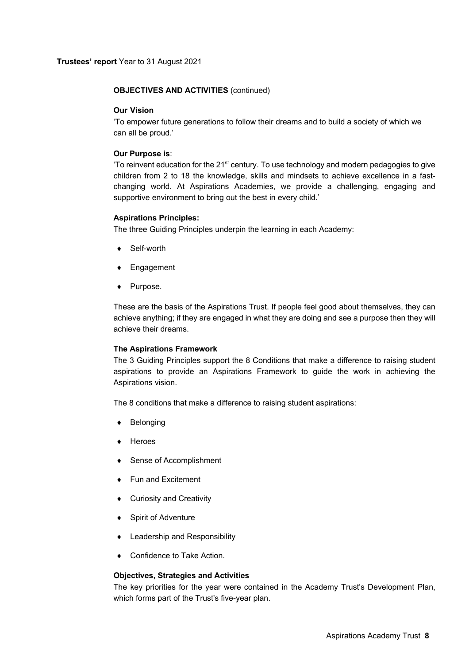# **OBJECTIVES AND ACTIVITIES** (continued)

### **Our Vision**

'To empower future generations to follow their dreams and to build a society of which we can all be proud.'

### **Our Purpose is**:

'To reinvent education for the 21<sup>st</sup> century. To use technology and modern pedagogies to give children from 2 to 18 the knowledge, skills and mindsets to achieve excellence in a fastchanging world. At Aspirations Academies, we provide a challenging, engaging and supportive environment to bring out the best in every child.'

### **Aspirations Principles:**

The three Guiding Principles underpin the learning in each Academy:

- Self-worth
- Engagement
- Purpose.

These are the basis of the Aspirations Trust. If people feel good about themselves, they can achieve anything; if they are engaged in what they are doing and see a purpose then they will achieve their dreams.

### **The Aspirations Framework**

The 3 Guiding Principles support the 8 Conditions that make a difference to raising student aspirations to provide an Aspirations Framework to guide the work in achieving the Aspirations vision.

The 8 conditions that make a difference to raising student aspirations:

- Belonging
- Heroes
- ◆ Sense of Accomplishment
- ◆ Fun and Excitement
- ◆ Curiosity and Creativity
- Spirit of Adventure
- Leadership and Responsibility
- Confidence to Take Action.

# **Objectives, Strategies and Activities**

The key priorities for the year were contained in the Academy Trust's Development Plan, which forms part of the Trust's five-year plan.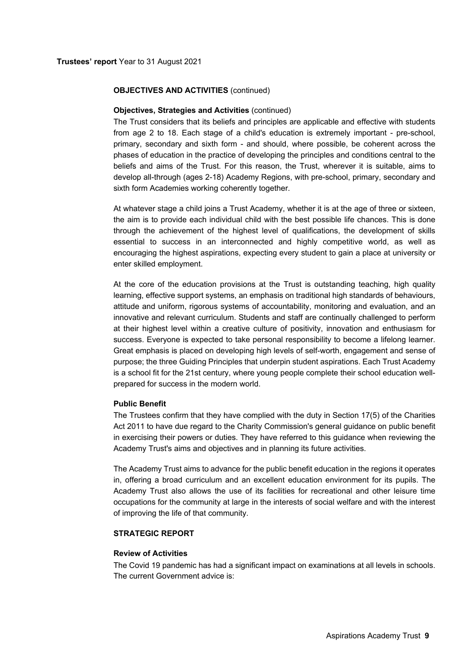# **OBJECTIVES AND ACTIVITIES** (continued)

### **Objectives, Strategies and Activities** (continued)

The Trust considers that its beliefs and principles are applicable and effective with students from age 2 to 18. Each stage of a child's education is extremely important - pre-school, primary, secondary and sixth form - and should, where possible, be coherent across the phases of education in the practice of developing the principles and conditions central to the beliefs and aims of the Trust. For this reason, the Trust, wherever it is suitable, aims to develop all-through (ages 2-18) Academy Regions, with pre-school, primary, secondary and sixth form Academies working coherently together.

At whatever stage a child joins a Trust Academy, whether it is at the age of three or sixteen, the aim is to provide each individual child with the best possible life chances. This is done through the achievement of the highest level of qualifications, the development of skills essential to success in an interconnected and highly competitive world, as well as encouraging the highest aspirations, expecting every student to gain a place at university or enter skilled employment.

At the core of the education provisions at the Trust is outstanding teaching, high quality learning, effective support systems, an emphasis on traditional high standards of behaviours, attitude and uniform, rigorous systems of accountability, monitoring and evaluation, and an innovative and relevant curriculum. Students and staff are continually challenged to perform at their highest level within a creative culture of positivity, innovation and enthusiasm for success. Everyone is expected to take personal responsibility to become a lifelong learner. Great emphasis is placed on developing high levels of self-worth, engagement and sense of purpose; the three Guiding Principles that underpin student aspirations. Each Trust Academy is a school fit for the 21st century, where young people complete their school education wellprepared for success in the modern world.

### **Public Benefit**

The Trustees confirm that they have complied with the duty in Section 17(5) of the Charities Act 2011 to have due regard to the Charity Commission's general guidance on public benefit in exercising their powers or duties. They have referred to this guidance when reviewing the Academy Trust's aims and objectives and in planning its future activities.

The Academy Trust aims to advance for the public benefit education in the regions it operates in, offering a broad curriculum and an excellent education environment for its pupils. The Academy Trust also allows the use of its facilities for recreational and other leisure time occupations for the community at large in the interests of social welfare and with the interest of improving the life of that community.

# **STRATEGIC REPORT**

### **Review of Activities**

The Covid 19 pandemic has had a significant impact on examinations at all levels in schools. The current Government advice is: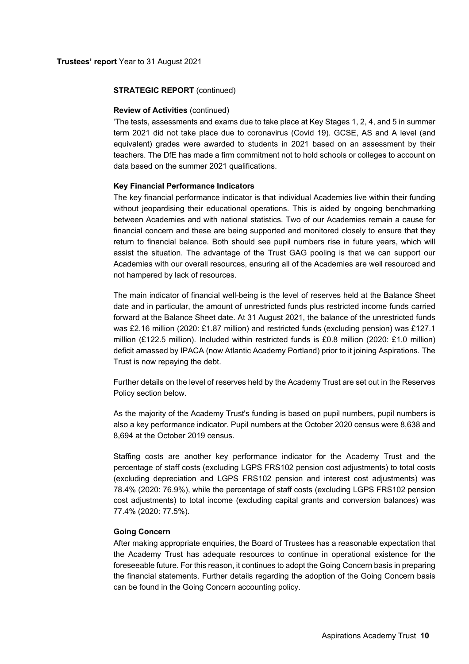#### **Review of Activities** (continued)

'The tests, assessments and exams due to take place at Key Stages 1, 2, 4, and 5 in summer term 2021 did not take place due to coronavirus (Covid 19). GCSE, AS and A level (and equivalent) grades were awarded to students in 2021 based on an assessment by their teachers. The DfE has made a firm commitment not to hold schools or colleges to account on data based on the summer 2021 qualifications.

### **Key Financial Performance Indicators**

The key financial performance indicator is that individual Academies live within their funding without jeopardising their educational operations. This is aided by ongoing benchmarking between Academies and with national statistics. Two of our Academies remain a cause for financial concern and these are being supported and monitored closely to ensure that they return to financial balance. Both should see pupil numbers rise in future years, which will assist the situation. The advantage of the Trust GAG pooling is that we can support our Academies with our overall resources, ensuring all of the Academies are well resourced and not hampered by lack of resources.

The main indicator of financial well-being is the level of reserves held at the Balance Sheet date and in particular, the amount of unrestricted funds plus restricted income funds carried forward at the Balance Sheet date. At 31 August 2021, the balance of the unrestricted funds was £2.16 million (2020: £1.87 million) and restricted funds (excluding pension) was £127.1 million (£122.5 million). Included within restricted funds is £0.8 million (2020: £1.0 million) deficit amassed by IPACA (now Atlantic Academy Portland) prior to it joining Aspirations. The Trust is now repaying the debt.

Further details on the level of reserves held by the Academy Trust are set out in the Reserves Policy section below.

As the majority of the Academy Trust's funding is based on pupil numbers, pupil numbers is also a key performance indicator. Pupil numbers at the October 2020 census were 8,638 and 8,694 at the October 2019 census.

Staffing costs are another key performance indicator for the Academy Trust and the percentage of staff costs (excluding LGPS FRS102 pension cost adjustments) to total costs (excluding depreciation and LGPS FRS102 pension and interest cost adjustments) was 78.4% (2020: 76.9%), while the percentage of staff costs (excluding LGPS FRS102 pension cost adjustments) to total income (excluding capital grants and conversion balances) was 77.4% (2020: 77.5%).

### **Going Concern**

After making appropriate enquiries, the Board of Trustees has a reasonable expectation that the Academy Trust has adequate resources to continue in operational existence for the foreseeable future. For this reason, it continues to adopt the Going Concern basis in preparing the financial statements. Further details regarding the adoption of the Going Concern basis can be found in the Going Concern accounting policy.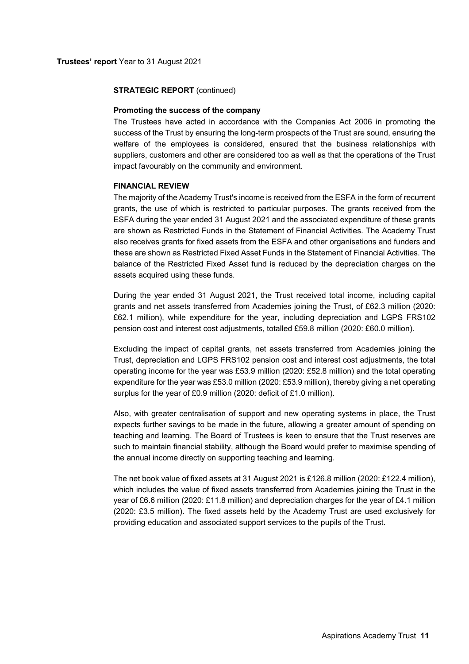#### **Promoting the success of the company**

The Trustees have acted in accordance with the Companies Act 2006 in promoting the success of the Trust by ensuring the long-term prospects of the Trust are sound, ensuring the welfare of the employees is considered, ensured that the business relationships with suppliers, customers and other are considered too as well as that the operations of the Trust impact favourably on the community and environment.

### **FINANCIAL REVIEW**

The majority of the Academy Trust's income is received from the ESFA in the form of recurrent grants, the use of which is restricted to particular purposes. The grants received from the ESFA during the year ended 31 August 2021 and the associated expenditure of these grants are shown as Restricted Funds in the Statement of Financial Activities. The Academy Trust also receives grants for fixed assets from the ESFA and other organisations and funders and these are shown as Restricted Fixed Asset Funds in the Statement of Financial Activities. The balance of the Restricted Fixed Asset fund is reduced by the depreciation charges on the assets acquired using these funds.

During the year ended 31 August 2021, the Trust received total income, including capital grants and net assets transferred from Academies joining the Trust, of £62.3 million (2020: £62.1 million), while expenditure for the year, including depreciation and LGPS FRS102 pension cost and interest cost adjustments, totalled £59.8 million (2020: £60.0 million).

Excluding the impact of capital grants, net assets transferred from Academies joining the Trust, depreciation and LGPS FRS102 pension cost and interest cost adjustments, the total operating income for the year was £53.9 million (2020: £52.8 million) and the total operating expenditure for the year was £53.0 million (2020: £53.9 million), thereby giving a net operating surplus for the year of £0.9 million (2020: deficit of £1.0 million).

Also, with greater centralisation of support and new operating systems in place, the Trust expects further savings to be made in the future, allowing a greater amount of spending on teaching and learning. The Board of Trustees is keen to ensure that the Trust reserves are such to maintain financial stability, although the Board would prefer to maximise spending of the annual income directly on supporting teaching and learning.

The net book value of fixed assets at 31 August 2021 is £126.8 million (2020: £122.4 million), which includes the value of fixed assets transferred from Academies joining the Trust in the year of £6.6 million (2020: £11.8 million) and depreciation charges for the year of £4.1 million (2020: £3.5 million). The fixed assets held by the Academy Trust are used exclusively for providing education and associated support services to the pupils of the Trust.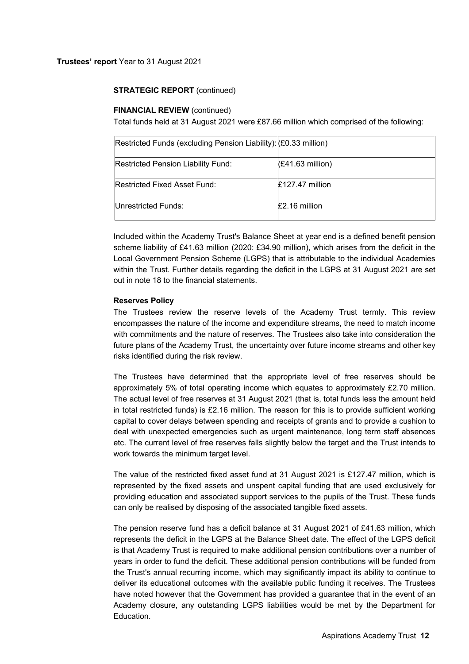# **FINANCIAL REVIEW (continued)**

Total funds held at 31 August 2021 were £87.66 million which comprised of the following:

| Restricted Funds (excluding Pension Liability): (£0.33 million) |                    |
|-----------------------------------------------------------------|--------------------|
| Restricted Pension Liability Fund:                              | $(E41.63$ million) |
| Restricted Fixed Asset Fund:                                    | $£127.47$ million  |
| Unrestricted Funds:                                             | £2.16 million      |

Included within the Academy Trust's Balance Sheet at year end is a defined benefit pension scheme liability of £41.63 million (2020: £34.90 million), which arises from the deficit in the Local Government Pension Scheme (LGPS) that is attributable to the individual Academies within the Trust. Further details regarding the deficit in the LGPS at 31 August 2021 are set out in note 18 to the financial statements.

# **Reserves Policy**

The Trustees review the reserve levels of the Academy Trust termly. This review encompasses the nature of the income and expenditure streams, the need to match income with commitments and the nature of reserves. The Trustees also take into consideration the future plans of the Academy Trust, the uncertainty over future income streams and other key risks identified during the risk review.

The Trustees have determined that the appropriate level of free reserves should be approximately 5% of total operating income which equates to approximately £2.70 million. The actual level of free reserves at 31 August 2021 (that is, total funds less the amount held in total restricted funds) is £2.16 million. The reason for this is to provide sufficient working capital to cover delays between spending and receipts of grants and to provide a cushion to deal with unexpected emergencies such as urgent maintenance, long term staff absences etc. The current level of free reserves falls slightly below the target and the Trust intends to work towards the minimum target level.

The value of the restricted fixed asset fund at 31 August 2021 is £127.47 million, which is represented by the fixed assets and unspent capital funding that are used exclusively for providing education and associated support services to the pupils of the Trust. These funds can only be realised by disposing of the associated tangible fixed assets.

The pension reserve fund has a deficit balance at 31 August 2021 of £41.63 million, which represents the deficit in the LGPS at the Balance Sheet date. The effect of the LGPS deficit is that Academy Trust is required to make additional pension contributions over a number of years in order to fund the deficit. These additional pension contributions will be funded from the Trust's annual recurring income, which may significantly impact its ability to continue to deliver its educational outcomes with the available public funding it receives. The Trustees have noted however that the Government has provided a guarantee that in the event of an Academy closure, any outstanding LGPS liabilities would be met by the Department for Education.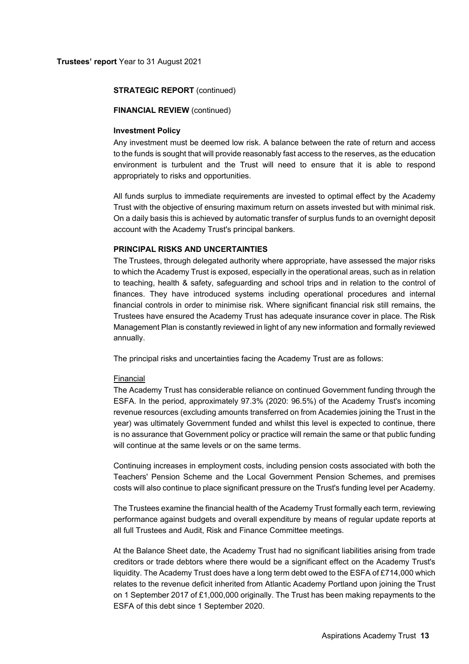### **FINANCIAL REVIEW (continued)**

# **Investment Policy**

Any investment must be deemed low risk. A balance between the rate of return and access to the funds is sought that will provide reasonably fast access to the reserves, as the education environment is turbulent and the Trust will need to ensure that it is able to respond appropriately to risks and opportunities.

All funds surplus to immediate requirements are invested to optimal effect by the Academy Trust with the objective of ensuring maximum return on assets invested but with minimal risk. On a daily basis this is achieved by automatic transfer of surplus funds to an overnight deposit account with the Academy Trust's principal bankers.

# **PRINCIPAL RISKS AND UNCERTAINTIES**

The Trustees, through delegated authority where appropriate, have assessed the major risks to which the Academy Trust is exposed, especially in the operational areas, such as in relation to teaching, health & safety, safeguarding and school trips and in relation to the control of finances. They have introduced systems including operational procedures and internal financial controls in order to minimise risk. Where significant financial risk still remains, the Trustees have ensured the Academy Trust has adequate insurance cover in place. The Risk Management Plan is constantly reviewed in light of any new information and formally reviewed annually.

The principal risks and uncertainties facing the Academy Trust are as follows:

#### Financial

The Academy Trust has considerable reliance on continued Government funding through the ESFA. In the period, approximately 97.3% (2020: 96.5%) of the Academy Trust's incoming revenue resources (excluding amounts transferred on from Academies joining the Trust in the year) was ultimately Government funded and whilst this level is expected to continue, there is no assurance that Government policy or practice will remain the same or that public funding will continue at the same levels or on the same terms.

Continuing increases in employment costs, including pension costs associated with both the Teachers' Pension Scheme and the Local Government Pension Schemes, and premises costs will also continue to place significant pressure on the Trust's funding level per Academy.

The Trustees examine the financial health of the Academy Trust formally each term, reviewing performance against budgets and overall expenditure by means of regular update reports at all full Trustees and Audit, Risk and Finance Committee meetings.

At the Balance Sheet date, the Academy Trust had no significant liabilities arising from trade creditors or trade debtors where there would be a significant effect on the Academy Trust's liquidity. The Academy Trust does have a long term debt owed to the ESFA of £714,000 which relates to the revenue deficit inherited from Atlantic Academy Portland upon joining the Trust on 1 September 2017 of £1,000,000 originally. The Trust has been making repayments to the ESFA of this debt since 1 September 2020.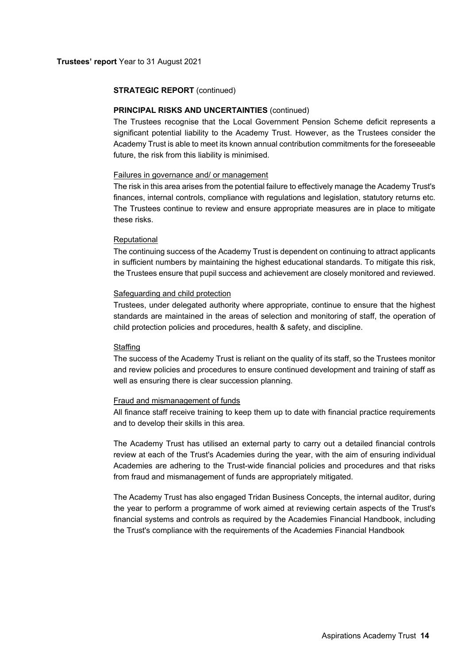### **Trustees' report** Year to 31 August 2021

### **STRATEGIC REPORT** (continued)

# **PRINCIPAL RISKS AND UNCERTAINTIES (continued)**

The Trustees recognise that the Local Government Pension Scheme deficit represents a significant potential liability to the Academy Trust. However, as the Trustees consider the Academy Trust is able to meet its known annual contribution commitments for the foreseeable future, the risk from this liability is minimised.

#### Failures in governance and/ or management

The risk in this area arises from the potential failure to effectively manage the Academy Trust's finances, internal controls, compliance with regulations and legislation, statutory returns etc. The Trustees continue to review and ensure appropriate measures are in place to mitigate these risks.

### Reputational

The continuing success of the Academy Trust is dependent on continuing to attract applicants in sufficient numbers by maintaining the highest educational standards. To mitigate this risk, the Trustees ensure that pupil success and achievement are closely monitored and reviewed.

### Safeguarding and child protection

Trustees, under delegated authority where appropriate, continue to ensure that the highest standards are maintained in the areas of selection and monitoring of staff, the operation of child protection policies and procedures, health & safety, and discipline.

#### **Staffing**

The success of the Academy Trust is reliant on the quality of its staff, so the Trustees monitor and review policies and procedures to ensure continued development and training of staff as well as ensuring there is clear succession planning.

### Fraud and mismanagement of funds

All finance staff receive training to keep them up to date with financial practice requirements and to develop their skills in this area.

The Academy Trust has utilised an external party to carry out a detailed financial controls review at each of the Trust's Academies during the year, with the aim of ensuring individual Academies are adhering to the Trust-wide financial policies and procedures and that risks from fraud and mismanagement of funds are appropriately mitigated.

The Academy Trust has also engaged Tridan Business Concepts, the internal auditor, during the year to perform a programme of work aimed at reviewing certain aspects of the Trust's financial systems and controls as required by the Academies Financial Handbook, including the Trust's compliance with the requirements of the Academies Financial Handbook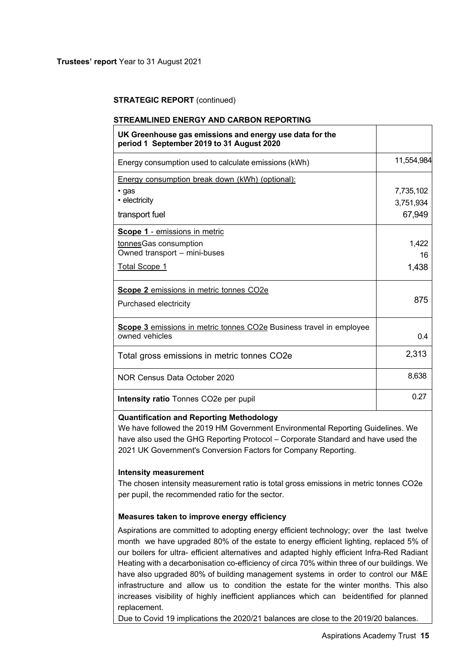# **STREAMLINED ENERGY AND CARBON REPORTING**

| UK Greenhouse gas emissions and energy use data for the<br>period 1 September 2019 to 31 August 2020 |            |
|------------------------------------------------------------------------------------------------------|------------|
| Energy consumption used to calculate emissions (kWh)                                                 | 11,554,984 |
| Energy consumption break down (kWh) (optional):                                                      |            |
| $\cdot$ gas                                                                                          | 7,735,102  |
| • electricity                                                                                        | 3,751,934  |
| transport fuel                                                                                       | 67,949     |
| Scope 1 - emissions in metric                                                                        |            |
| tonnes Gas consumption                                                                               | 1,422      |
| Owned transport - mini-buses                                                                         | 16         |
| <b>Total Scope 1</b>                                                                                 | 1,438      |
| Scope 2 emissions in metric tonnes CO2e                                                              |            |
| Purchased electricity                                                                                | 875        |
| <b>Scope 3</b> emissions in metric tonnes CO2e Business travel in employee<br>owned vehicles         |            |
|                                                                                                      | 0.4        |
| Total gross emissions in metric tonnes CO2e                                                          | 2,313      |
| NOR Census Data October 2020                                                                         | 8,638      |
| <b>Intensity ratio</b> Tonnes CO <sub>2</sub> e per pupil                                            | 0.27       |

# **Quantification and Reporting Methodology**

We have followed the 2019 HM Government Environmental Reporting Guidelines. We have also used the GHG Reporting Protocol – Corporate Standard and have used the 2021 UK Government's Conversion Factors for Company Reporting.

### **Intensity measurement**

The chosen intensity measurement ratio is total gross emissions in metric tonnes CO2e per pupil, the recommended ratio for the sector.

# **Measures taken to improve energy efficiency**

Aspirations are committed to adopting energy efficient technology; over the last twelve month we have upgraded 80% of the estate to energy efficient lighting, replaced 5% of our boilers for ultra- efficient alternatives and adapted highly efficient Infra-Red Radiant Heating with a decarbonisation co-efficiency of circa 70% within three of our buildings. We have also upgraded 80% of building management systems in order to control our M&E infrastructure and allow us to condition the estate for the winter months. This also increases visibility of highly inefficient appliances which can beidentified for planned replacement.

Due to Covid 19 implications the 2020/21 balances are close to the 2019/20 balances.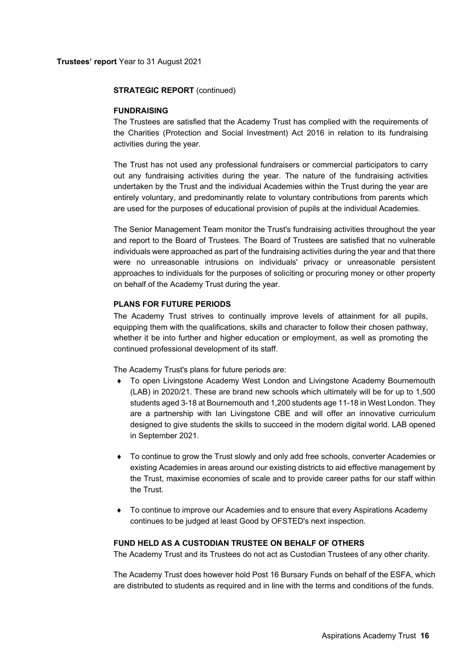### **FUNDRAISING**

The Trustees are satisfied that the Academy Trust has complied with the requirements of the Charities (Protection and Social Investment) Act 2016 in relation to its fundraising activities during the year.

The Trust has not used any professional fundraisers or commercial participators to carry out any fundraising activities during the year. The nature of the fundraising activities undertaken by the Trust and the individual Academies within the Trust during the year are entirely voluntary, and predominantly relate to voluntary contributions from parents which are used for the purposes of educational provision of pupils at the individual Academies.

The Senior Management Team monitor the Trust's fundraising activities throughout the year and report to the Board of Trustees. The Board of Trustees are satisfied that no vulnerable individuals were approached as part of the fundraising activities during the year and that there were no unreasonable intrusions on individuals' privacy or unreasonable persistent approaches to individuals for the purposes of soliciting or procuring money or other property on behalf of the Academy Trust during the year.

# **PLANS FOR FUTURE PERIODS**

The Academy Trust strives to continually improve levels of attainment for all pupils, equipping them with the qualifications, skills and character to follow their chosen pathway, whether it be into further and higher education or employment, as well as promoting the continued professional development of its staff.

The Academy Trust's plans for future periods are:

- To open Livingstone Academy West London and Livingstone Academy Bournemouth (LAB) in 2020/21. These are brand new schools which ultimately will be for up to 1,500 students aged 3-18 at Bournemouth and 1,200 students age 11-18 in West London. They are a partnership with Ian Livingstone CBE and will offer an innovative curriculum designed to give students the skills to succeed in the modern digital world. LAB opened in September 2021.
- To continue to grow the Trust slowly and only add free schools, converter Academies or existing Academies in areas around our existing districts to aid effective management by the Trust, maximise economies of scale and to provide career paths for our staff within the Trust.
- To continue to improve our Academies and to ensure that every Aspirations Academy continues to be judged at least Good by OFSTED's next inspection.

### **FUND HELD AS A CUSTODIAN TRUSTEE ON BEHALF OF OTHERS**

The Academy Trust and its Trustees do not act as Custodian Trustees of any other charity.

The Academy Trust does however hold Post 16 Bursary Funds on behalf of the ESFA, which are distributed to students as required and in line with the terms and conditions of the funds.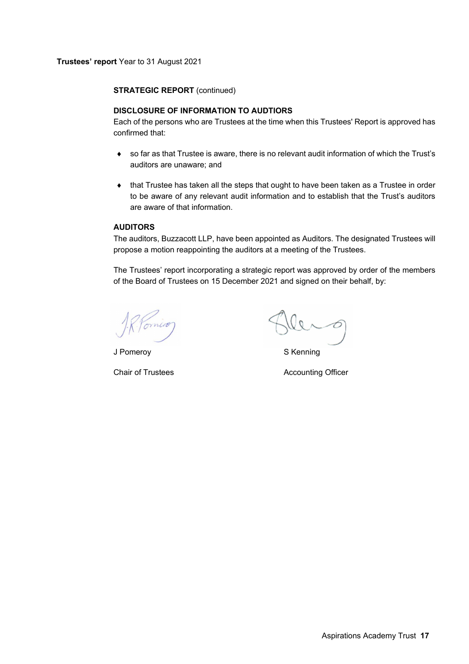# **DISCLOSURE OF INFORMATION TO AUDTIORS**

Each of the persons who are Trustees at the time when this Trustees' Report is approved has confirmed that:

- so far as that Trustee is aware, there is no relevant audit information of which the Trust's auditors are unaware; and
- that Trustee has taken all the steps that ought to have been taken as a Trustee in order to be aware of any relevant audit information and to establish that the Trust's auditors are aware of that information.

# **AUDITORS**

The auditors, Buzzacott LLP, have been appointed as Auditors. The designated Trustees will propose a motion reappointing the auditors at a meeting of the Trustees.

The Trustees' report incorporating a strategic report was approved by order of the members of the Board of Trustees on 15 December 2021 and signed on their behalf, by:

J Pomeroy S Kenning

Chair of Trustees **Accounting Officer** Accounting Officer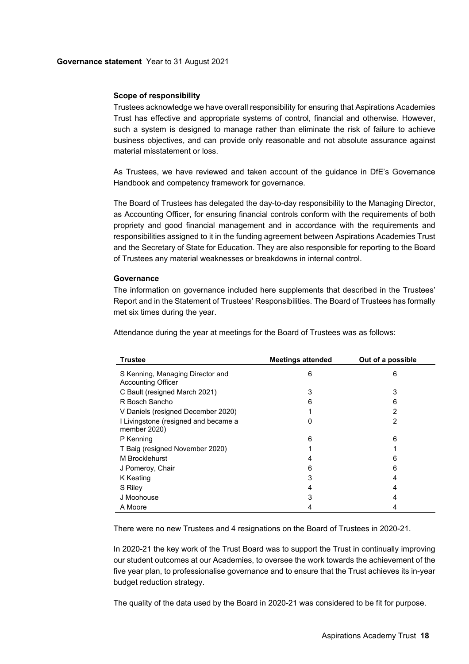# **Scope of responsibility**

Trustees acknowledge we have overall responsibility for ensuring that Aspirations Academies Trust has effective and appropriate systems of control, financial and otherwise. However, such a system is designed to manage rather than eliminate the risk of failure to achieve business objectives, and can provide only reasonable and not absolute assurance against material misstatement or loss.

As Trustees, we have reviewed and taken account of the guidance in DfE's Governance Handbook and competency framework for governance.

The Board of Trustees has delegated the day-to-day responsibility to the Managing Director, as Accounting Officer, for ensuring financial controls conform with the requirements of both propriety and good financial management and in accordance with the requirements and responsibilities assigned to it in the funding agreement between Aspirations Academies Trust and the Secretary of State for Education. They are also responsible for reporting to the Board of Trustees any material weaknesses or breakdowns in internal control.

### **Governance**

The information on governance included here supplements that described in the Trustees' Report and in the Statement of Trustees' Responsibilities. The Board of Trustees has formally met six times during the year.

Attendance during the year at meetings for the Board of Trustees was as follows:

| <b>Trustee</b>                                                | <b>Meetings attended</b> | Out of a possible |
|---------------------------------------------------------------|--------------------------|-------------------|
| S Kenning, Managing Director and<br><b>Accounting Officer</b> | 6                        | 6                 |
| C Bault (resigned March 2021)                                 | 3                        | 3                 |
| R Bosch Sancho                                                | 6                        | 6                 |
| V Daniels (resigned December 2020)                            |                          | 2                 |
| I Livingstone (resigned and became a<br>member 2020)          | 0                        | 2                 |
| P Kenning                                                     | 6                        | 6                 |
| T Baig (resigned November 2020)                               |                          |                   |
| M Brocklehurst                                                |                          | 6                 |
| J Pomeroy, Chair                                              | 6                        | 6                 |
| K Keating                                                     | 3                        |                   |
| S Riley                                                       |                          |                   |
| J Moohouse                                                    | 3                        | 4                 |
| A Moore                                                       |                          |                   |

There were no new Trustees and 4 resignations on the Board of Trustees in 2020-21.

In 2020-21 the key work of the Trust Board was to support the Trust in continually improving our student outcomes at our Academies, to oversee the work towards the achievement of the five year plan, to professionalise governance and to ensure that the Trust achieves its in-year budget reduction strategy.

The quality of the data used by the Board in 2020-21 was considered to be fit for purpose.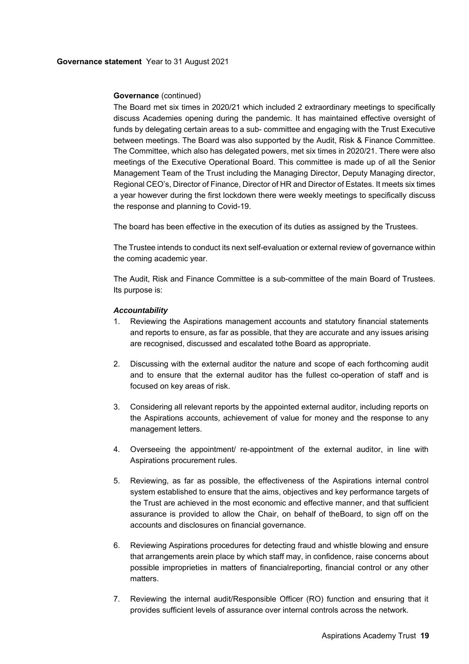# **Governance** (continued)

The Board met six times in 2020/21 which included 2 extraordinary meetings to specifically discuss Academies opening during the pandemic. It has maintained effective oversight of funds by delegating certain areas to a sub- committee and engaging with the Trust Executive between meetings. The Board was also supported by the Audit, Risk & Finance Committee. The Committee, which also has delegated powers, met six times in 2020/21. There were also meetings of the Executive Operational Board. This committee is made up of all the Senior Management Team of the Trust including the Managing Director, Deputy Managing director, Regional CEO's, Director of Finance, Director of HR and Director of Estates. It meets six times a year however during the first lockdown there were weekly meetings to specifically discuss the response and planning to Covid-19.

The board has been effective in the execution of its duties as assigned by the Trustees.

The Trustee intends to conduct its next self-evaluation or external review of governance within the coming academic year.

The Audit, Risk and Finance Committee is a sub-committee of the main Board of Trustees. Its purpose is:

# *Accountability*

- 1. Reviewing the Aspirations management accounts and statutory financial statements and reports to ensure, as far as possible, that they are accurate and any issues arising are recognised, discussed and escalated to the Board as appropriate.
- 2. Discussing with the external auditor the nature and scope of each forthcoming audit and to ensure that the external auditor has the fullest co-operation of staff and is focused on key areas of risk.
- 3. Considering all relevant reports by the appointed external auditor, including reports on the Aspirations accounts, achievement of value for money and the response to any management letters.
- 4. Overseeing the appointment/ re-appointment of the external auditor, in line with Aspirations procurement rules.
- 5. Reviewing, as far as possible, the effectiveness of the Aspirations internal control system established to ensure that the aims, objectives and key performance targets of the Trust are achieved in the most economic and effective manner, and that sufficient assurance is provided to allow the Chair, on behalf of the Board, to sign off on the accounts and disclosures on financial governance.
- 6. Reviewing Aspirations procedures for detecting fraud and whistle blowing and ensure that arrangements arein place by which staff may, in confidence, raise concerns about possible improprieties in matters of financial reporting, financial control or any other matters.
- 7. Reviewing the internal audit/Responsible Officer (RO) function and ensuring that it provides sufficient levels of assurance over internal controls across the network.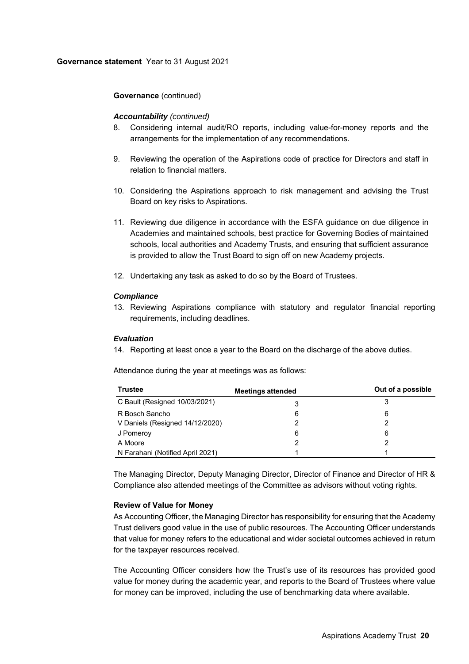# **Governance** (continued)

### *Accountability (continued)*

- 8. Considering internal audit/RO reports, including value-for-money reports and the arrangements for the implementation of any recommendations.
- 9. Reviewing the operation of the Aspirations code of practice for Directors and staff in relation to financial matters.
- 10. Considering the Aspirations approach to risk management and advising the Trust Board on key risks to Aspirations.
- 11. Reviewing due diligence in accordance with the ESFA guidance on due diligence in Academies and maintained schools, best practice for Governing Bodies of maintained schools, local authorities and Academy Trusts, and ensuring that sufficient assurance is provided to allow the Trust Board to sign off on new Academy projects.
- 12. Undertaking any task as asked to do so by the Board of Trustees.

# *Compliance*

13. Reviewing Aspirations compliance with statutory and regulator financial reporting requirements, including deadlines.

### *Evaluation*

14. Reporting at least once a year to the Board on the discharge of the above duties.

Attendance during the year at meetings was as follows:

| <b>Trustee</b>                   | <b>Meetings attended</b> | Out of a possible |
|----------------------------------|--------------------------|-------------------|
| C Bault (Resigned 10/03/2021)    | 3                        |                   |
| R Bosch Sancho                   | 6                        | 6                 |
| V Daniels (Resigned 14/12/2020)  |                          |                   |
| J Pomeroy                        | 6                        | 6                 |
| A Moore                          |                          |                   |
| N Farahani (Notified April 2021) |                          |                   |

The Managing Director, Deputy Managing Director, Director of Finance and Director of HR & Compliance also attended meetings of the Committee as advisors without voting rights.

# **Review of Value for Money**

As Accounting Officer, the Managing Director has responsibility for ensuring that the Academy Trust delivers good value in the use of public resources. The Accounting Officer understands that value for money refers to the educational and wider societal outcomes achieved in return for the taxpayer resources received.

The Accounting Officer considers how the Trust's use of its resources has provided good value for money during the academic year, and reports to the Board of Trustees where value for money can be improved, including the use of benchmarking data where available.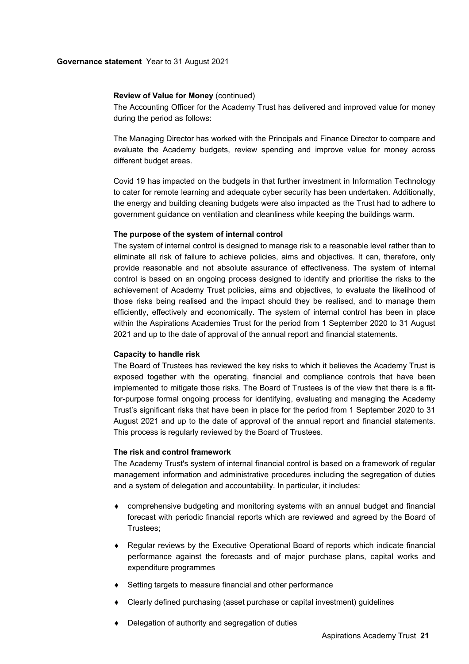### **Review of Value for Money** (continued)

The Accounting Officer for the Academy Trust has delivered and improved value for money during the period as follows:

The Managing Director has worked with the Principals and Finance Director to compare and evaluate the Academy budgets, review spending and improve value for money across different budget areas.

Covid 19 has impacted on the budgets in that further investment in Information Technology to cater for remote learning and adequate cyber security has been undertaken. Additionally, the energy and building cleaning budgets were also impacted as the Trust had to adhere to government guidance on ventilation and cleanliness while keeping the buildings warm.

### **The purpose of the system of internal control**

The system of internal control is designed to manage risk to a reasonable level rather than to eliminate all risk of failure to achieve policies, aims and objectives. It can, therefore, only provide reasonable and not absolute assurance of effectiveness. The system of internal control is based on an ongoing process designed to identify and prioritise the risks to the achievement of Academy Trust policies, aims and objectives, to evaluate the likelihood of those risks being realised and the impact should they be realised, and to manage them efficiently, effectively and economically. The system of internal control has been in place within the Aspirations Academies Trust for the period from 1 September 2020 to 31 August 2021 and up to the date of approval of the annual report and financial statements.

#### **Capacity to handle risk**

The Board of Trustees has reviewed the key risks to which it believes the Academy Trust is exposed together with the operating, financial and compliance controls that have been implemented to mitigate those risks. The Board of Trustees is of the view that there is a fitfor-purpose formal ongoing process for identifying, evaluating and managing the Academy Trust's significant risks that have been in place for the period from 1 September 2020 to 31 August 2021 and up to the date of approval of the annual report and financial statements. This process is regularly reviewed by the Board of Trustees.

#### **The risk and control framework**

The Academy Trust's system of internal financial control is based on a framework of regular management information and administrative procedures including the segregation of duties and a system of delegation and accountability. In particular, it includes:

- comprehensive budgeting and monitoring systems with an annual budget and financial forecast with periodic financial reports which are reviewed and agreed by the Board of Trustees;
- Regular reviews by the Executive Operational Board of reports which indicate financial performance against the forecasts and of major purchase plans, capital works and expenditure programmes
- Setting targets to measure financial and other performance
- Clearly defined purchasing (asset purchase or capital investment) guidelines
- Delegation of authority and segregation of duties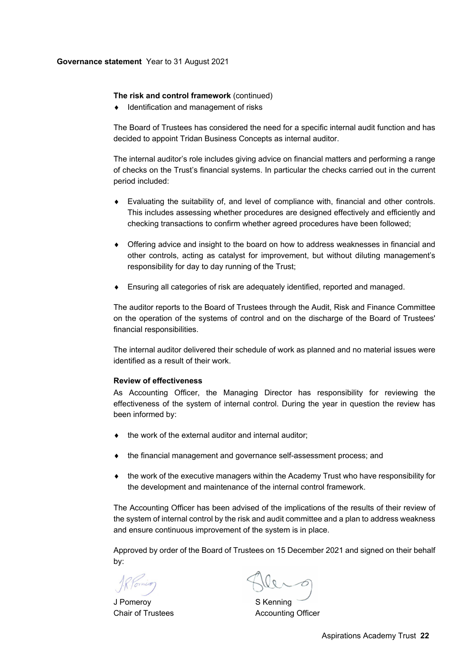### **The risk and control framework** (continued)

Identification and management of risks

The Board of Trustees has considered the need for a specific internal audit function and has decided to appoint Tridan Business Concepts as internal auditor.

The internal auditor's role includes giving advice on financial matters and performing a range of checks on the Trust's financial systems. In particular the checks carried out in the current period included:

- Evaluating the suitability of, and level of compliance with, financial and other controls. This includes assessing whether procedures are designed effectively and efficiently and checking transactions to confirm whether agreed procedures have been followed;
- Offering advice and insight to the board on how to address weaknesses in financial and other controls, acting as catalyst for improvement, but without diluting management's responsibility for day to day running of the Trust;
- Ensuring all categories of risk are adequately identified, reported and managed.

The auditor reports to the Board of Trustees through the Audit, Risk and Finance Committee on the operation of the systems of control and on the discharge of the Board of Trustees' financial responsibilities.

The internal auditor delivered their schedule of work as planned and no material issues were identified as a result of their work.

### **Review of effectiveness**

As Accounting Officer, the Managing Director has responsibility for reviewing the effectiveness of the system of internal control. During the year in question the review has been informed by:

- the work of the external auditor and internal auditor;
- the financial management and governance self-assessment process; and
- the work of the executive managers within the Academy Trust who have responsibility for the development and maintenance of the internal control framework.

The Accounting Officer has been advised of the implications of the results of their review of the system of internal control by the risk and audit committee and a plan to address weakness and ensure continuous improvement of the system is in place.

Approved by order of the Board of Trustees on 15 December 2021 and signed on their behalf by:

J Pomeroy S Kenning

Chair of Trustees **Accounting Officer**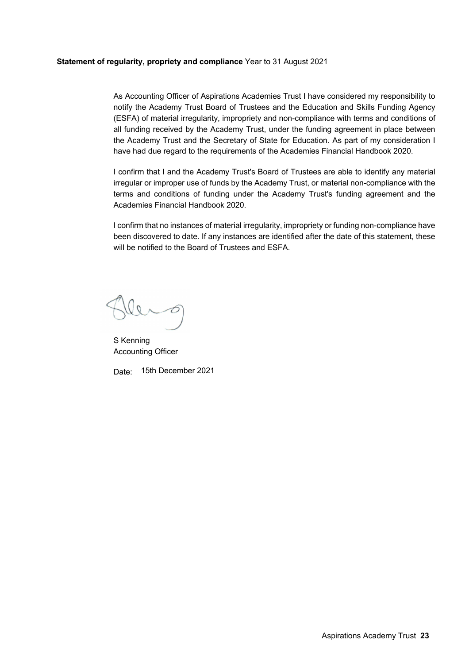# **Statement of regularity, propriety and compliance** Year to 31 August 2021

As Accounting Officer of Aspirations Academies Trust I have considered my responsibility to notify the Academy Trust Board of Trustees and the Education and Skills Funding Agency (ESFA) of material irregularity, impropriety and non-compliance with terms and conditions of all funding received by the Academy Trust, under the funding agreement in place between the Academy Trust and the Secretary of State for Education. As part of my consideration I have had due regard to the requirements of the Academies Financial Handbook 2020.

I confirm that I and the Academy Trust's Board of Trustees are able to identify any material irregular or improper use of funds by the Academy Trust, or material non-compliance with the terms and conditions of funding under the Academy Trust's funding agreement and the Academies Financial Handbook 2020.

I confirm that no instances of material irregularity, impropriety or funding non-compliance have been discovered to date. If any instances are identified after the date of this statement, these will be notified to the Board of Trustees and ESFA.

 $\overline{Q}$ 

S Kenning Accounting Officer

Date: 15th December 2021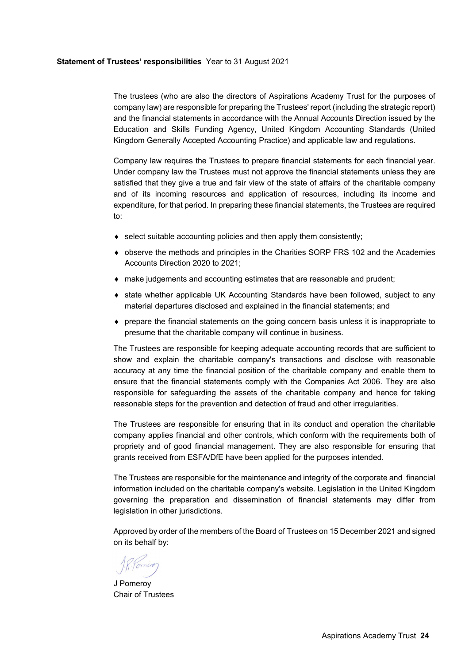### **Statement of Trustees' responsibilities** Year to 31 August 2021

The trustees (who are also the directors of Aspirations Academy Trust for the purposes of company law) are responsible for preparing the Trustees' report (including the strategic report) and the financial statements in accordance with the Annual Accounts Direction issued by the Education and Skills Funding Agency, United Kingdom Accounting Standards (United Kingdom Generally Accepted Accounting Practice) and applicable law and regulations.

Company law requires the Trustees to prepare financial statements for each financial year. Under company law the Trustees must not approve the financial statements unless they are satisfied that they give a true and fair view of the state of affairs of the charitable company and of its incoming resources and application of resources, including its income and expenditure, for that period. In preparing these financial statements, the Trustees are required to:

- select suitable accounting policies and then apply them consistently;
- observe the methods and principles in the Charities SORP FRS 102 and the Academies Accounts Direction 2020 to 2021;
- make judgements and accounting estimates that are reasonable and prudent;
- state whether applicable UK Accounting Standards have been followed, subject to any material departures disclosed and explained in the financial statements; and
- $\bullet$  prepare the financial statements on the going concern basis unless it is inappropriate to presume that the charitable company will continue in business.

The Trustees are responsible for keeping adequate accounting records that are sufficient to show and explain the charitable company's transactions and disclose with reasonable accuracy at any time the financial position of the charitable company and enable them to ensure that the financial statements comply with the Companies Act 2006. They are also responsible for safeguarding the assets of the charitable company and hence for taking reasonable steps for the prevention and detection of fraud and other irregularities.

The Trustees are responsible for ensuring that in its conduct and operation the charitable company applies financial and other controls, which conform with the requirements both of propriety and of good financial management. They are also responsible for ensuring that grants received from ESFA/DfE have been applied for the purposes intended.

The Trustees are responsible for the maintenance and integrity of the corporate and financial information included on the charitable company's website. Legislation in the United Kingdom governing the preparation and dissemination of financial statements may differ from legislation in other jurisdictions.

Approved by order of the members of the Board of Trustees on 15 December 2021 and signed on its behalf by:

J Pomeroy Chair of Trustees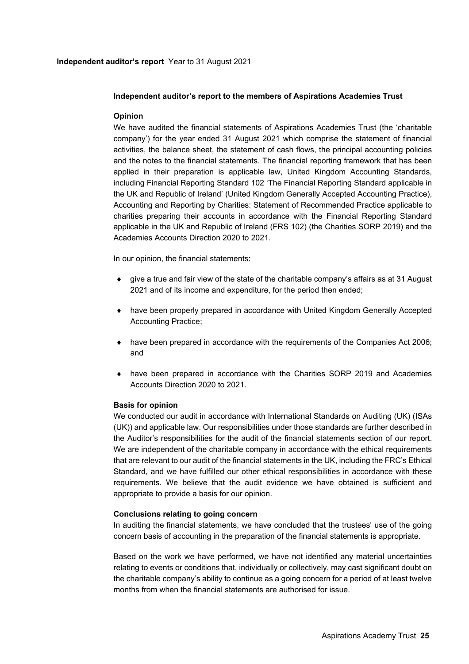# **Independent auditor's report to the members of Aspirations Academies Trust**

# **Opinion**

We have audited the financial statements of Aspirations Academies Trust (the 'charitable company') for the year ended 31 August 2021 which comprise the statement of financial activities, the balance sheet, the statement of cash flows, the principal accounting policies and the notes to the financial statements. The financial reporting framework that has been applied in their preparation is applicable law, United Kingdom Accounting Standards, including Financial Reporting Standard 102 'The Financial Reporting Standard applicable in the UK and Republic of Ireland' (United Kingdom Generally Accepted Accounting Practice), Accounting and Reporting by Charities: Statement of Recommended Practice applicable to charities preparing their accounts in accordance with the Financial Reporting Standard applicable in the UK and Republic of Ireland (FRS 102) (the Charities SORP 2019) and the Academies Accounts Direction 2020 to 2021.

In our opinion, the financial statements:

- give a true and fair view of the state of the charitable company's affairs as at 31 August 2021 and of its income and expenditure, for the period then ended;
- have been properly prepared in accordance with United Kingdom Generally Accepted Accounting Practice;
- have been prepared in accordance with the requirements of the Companies Act 2006; and
- have been prepared in accordance with the Charities SORP 2019 and Academies Accounts Direction 2020 to 2021.

### **Basis for opinion**

We conducted our audit in accordance with International Standards on Auditing (UK) (ISAs (UK)) and applicable law. Our responsibilities under those standards are further described in the Auditor's responsibilities for the audit of the financial statements section of our report. We are independent of the charitable company in accordance with the ethical requirements that are relevant to our audit of the financial statements in the UK, including the FRC's Ethical Standard, and we have fulfilled our other ethical responsibilities in accordance with these requirements. We believe that the audit evidence we have obtained is sufficient and appropriate to provide a basis for our opinion.

### **Conclusions relating to going concern**

In auditing the financial statements, we have concluded that the trustees' use of the going concern basis of accounting in the preparation of the financial statements is appropriate.

Based on the work we have performed, we have not identified any material uncertainties relating to events or conditions that, individually or collectively, may cast significant doubt on the charitable company's ability to continue as a going concern for a period of at least twelve months from when the financial statements are authorised for issue.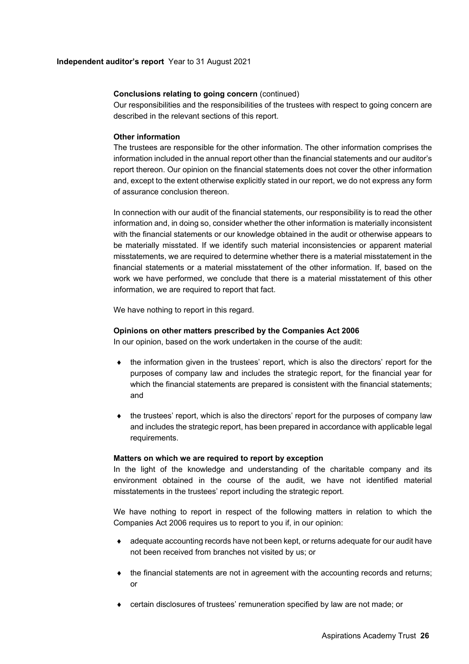# **Conclusions relating to going concern** (continued)

Our responsibilities and the responsibilities of the trustees with respect to going concern are described in the relevant sections of this report.

# **Other information**

The trustees are responsible for the other information. The other information comprises the information included in the annual report other than the financial statements and our auditor's report thereon. Our opinion on the financial statements does not cover the other information and, except to the extent otherwise explicitly stated in our report, we do not express any form of assurance conclusion thereon.

In connection with our audit of the financial statements, our responsibility is to read the other information and, in doing so, consider whether the other information is materially inconsistent with the financial statements or our knowledge obtained in the audit or otherwise appears to be materially misstated. If we identify such material inconsistencies or apparent material misstatements, we are required to determine whether there is a material misstatement in the financial statements or a material misstatement of the other information. If, based on the work we have performed, we conclude that there is a material misstatement of this other information, we are required to report that fact.

We have nothing to report in this regard.

# **Opinions on other matters prescribed by the Companies Act 2006**

In our opinion, based on the work undertaken in the course of the audit:

- the information given in the trustees' report, which is also the directors' report for the purposes of company law and includes the strategic report, for the financial year for which the financial statements are prepared is consistent with the financial statements; and
- $\bullet$  the trustees' report, which is also the directors' report for the purposes of company law and includes the strategic report, has been prepared in accordance with applicable legal requirements.

### **Matters on which we are required to report by exception**

In the light of the knowledge and understanding of the charitable company and its environment obtained in the course of the audit, we have not identified material misstatements in the trustees' report including the strategic report.

We have nothing to report in respect of the following matters in relation to which the Companies Act 2006 requires us to report to you if, in our opinion:

- adequate accounting records have not been kept, or returns adequate for our audit have not been received from branches not visited by us; or
- $\bullet$  the financial statements are not in agreement with the accounting records and returns; or
- certain disclosures of trustees' remuneration specified by law are not made; or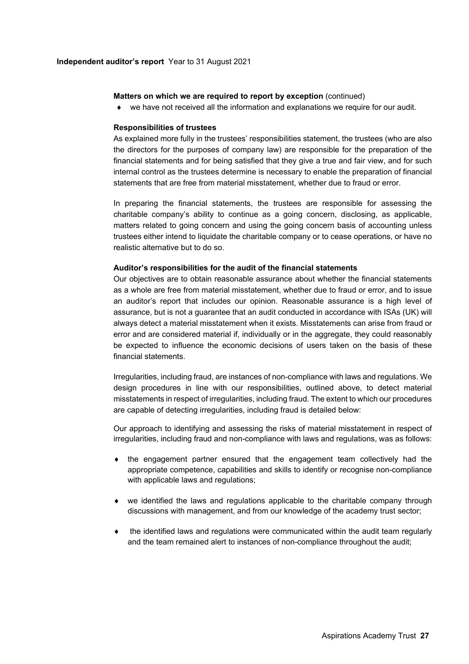### **Matters on which we are required to report by exception (continued)**

we have not received all the information and explanations we require for our audit.

### **Responsibilities of trustees**

As explained more fully in the trustees' responsibilities statement, the trustees (who are also the directors for the purposes of company law) are responsible for the preparation of the financial statements and for being satisfied that they give a true and fair view, and for such internal control as the trustees determine is necessary to enable the preparation of financial statements that are free from material misstatement, whether due to fraud or error.

In preparing the financial statements, the trustees are responsible for assessing the charitable company's ability to continue as a going concern, disclosing, as applicable, matters related to going concern and using the going concern basis of accounting unless trustees either intend to liquidate the charitable company or to cease operations, or have no realistic alternative but to do so.

#### **Auditor's responsibilities for the audit of the financial statements**

Our objectives are to obtain reasonable assurance about whether the financial statements as a whole are free from material misstatement, whether due to fraud or error, and to issue an auditor's report that includes our opinion. Reasonable assurance is a high level of assurance, but is not a guarantee that an audit conducted in accordance with ISAs (UK) will always detect a material misstatement when it exists. Misstatements can arise from fraud or error and are considered material if, individually or in the aggregate, they could reasonably be expected to influence the economic decisions of users taken on the basis of these financial statements.

Irregularities, including fraud, are instances of non-compliance with laws and regulations. We design procedures in line with our responsibilities, outlined above, to detect material misstatements in respect of irregularities, including fraud. The extent to which our procedures are capable of detecting irregularities, including fraud is detailed below:

Our approach to identifying and assessing the risks of material misstatement in respect of irregularities, including fraud and non-compliance with laws and regulations, was as follows:

- $\bullet$  the engagement partner ensured that the engagement team collectively had the appropriate competence, capabilities and skills to identify or recognise non-compliance with applicable laws and regulations;
- we identified the laws and regulations applicable to the charitable company through discussions with management, and from our knowledge of the academy trust sector;
- the identified laws and regulations were communicated within the audit team regularly and the team remained alert to instances of non-compliance throughout the audit;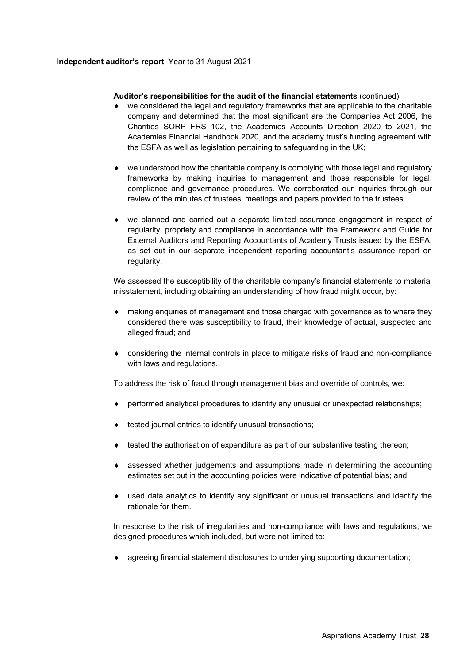# **Auditor's responsibilities for the audit of the financial statements** (continued)

- we considered the legal and regulatory frameworks that are applicable to the charitable company and determined that the most significant are the Companies Act 2006, the Charities SORP FRS 102, the Academies Accounts Direction 2020 to 2021, the Academies Financial Handbook 2020, and the academy trust's funding agreement with the ESFA as well as legislation pertaining to safeguarding in the UK;
- we understood how the charitable company is complying with those legal and regulatory frameworks by making inquiries to management and those responsible for legal, compliance and governance procedures. We corroborated our inquiries through our review of the minutes of trustees' meetings and papers provided to the trustees
- we planned and carried out a separate limited assurance engagement in respect of regularity, propriety and compliance in accordance with the Framework and Guide for External Auditors and Reporting Accountants of Academy Trusts issued by the ESFA, as set out in our separate independent reporting accountant's assurance report on regularity.

We assessed the susceptibility of the charitable company's financial statements to material misstatement, including obtaining an understanding of how fraud might occur, by:

- making enquiries of management and those charged with governance as to where they considered there was susceptibility to fraud, their knowledge of actual, suspected and alleged fraud; and
- considering the internal controls in place to mitigate risks of fraud and non-compliance with laws and regulations.

To address the risk of fraud through management bias and override of controls, we:

- performed analytical procedures to identify any unusual or unexpected relationships;
- $\bullet$  tested journal entries to identify unusual transactions;
- $\bullet$  tested the authorisation of expenditure as part of our substantive testing thereon;
- assessed whether judgements and assumptions made in determining the accounting estimates set out in the accounting policies were indicative of potential bias; and
- used data analytics to identify any significant or unusual transactions and identify the rationale for them.

In response to the risk of irregularities and non-compliance with laws and regulations, we designed procedures which included, but were not limited to:

agreeing financial statement disclosures to underlying supporting documentation;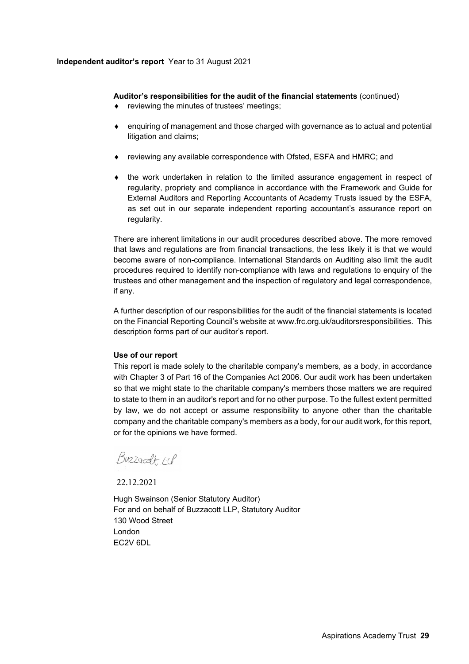# **Auditor's responsibilities for the audit of the financial statements** (continued)

- reviewing the minutes of trustees' meetings;
- enquiring of management and those charged with governance as to actual and potential litigation and claims;
- reviewing any available correspondence with Ofsted, ESFA and HMRC; and
- $\bullet$  the work undertaken in relation to the limited assurance engagement in respect of regularity, propriety and compliance in accordance with the Framework and Guide for External Auditors and Reporting Accountants of Academy Trusts issued by the ESFA, as set out in our separate independent reporting accountant's assurance report on regularity.

There are inherent limitations in our audit procedures described above. The more removed that laws and regulations are from financial transactions, the less likely it is that we would become aware of non-compliance. International Standards on Auditing also limit the audit procedures required to identify non-compliance with laws and regulations to enquiry of the trustees and other management and the inspection of regulatory and legal correspondence, if any.

A further description of our responsibilities for the audit of the financial statements is located on the Financial Reporting Council's website at www.frc.org.uk/auditorsresponsibilities. This description forms part of our auditor's report.

# **Use of our report**

This report is made solely to the charitable company's members, as a body, in accordance with Chapter 3 of Part 16 of the Companies Act 2006. Our audit work has been undertaken so that we might state to the charitable company's members those matters we are required to state to them in an auditor's report and for no other purpose. To the fullest extent permitted by law, we do not accept or assume responsibility to anyone other than the charitable company and the charitable company's members as a body, for our audit work, for this report, or for the opinions we have formed.

Buzzardt 11P

22.12.2021

Hugh Swainson (Senior Statutory Auditor) For and on behalf of Buzzacott LLP, Statutory Auditor 130 Wood Street London EC2V 6DL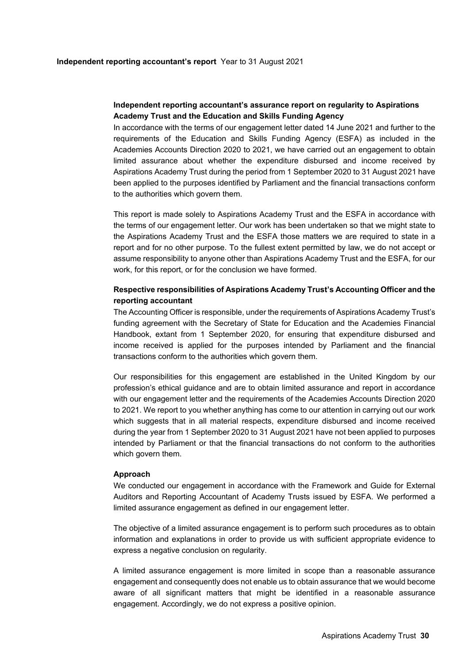# **Independent reporting accountant's assurance report on regularity to Aspirations Academy Trust and the Education and Skills Funding Agency**

In accordance with the terms of our engagement letter dated 14 June 2021 and further to the requirements of the Education and Skills Funding Agency (ESFA) as included in the Academies Accounts Direction 2020 to 2021, we have carried out an engagement to obtain limited assurance about whether the expenditure disbursed and income received by Aspirations Academy Trust during the period from 1 September 2020 to 31 August 2021 have been applied to the purposes identified by Parliament and the financial transactions conform to the authorities which govern them.

This report is made solely to Aspirations Academy Trust and the ESFA in accordance with the terms of our engagement letter. Our work has been undertaken so that we might state to the Aspirations Academy Trust and the ESFA those matters we are required to state in a report and for no other purpose. To the fullest extent permitted by law, we do not accept or assume responsibility to anyone other than Aspirations Academy Trust and the ESFA, for our work, for this report, or for the conclusion we have formed.

# **Respective responsibilities of Aspirations Academy Trust's Accounting Officer and the reporting accountant**

The Accounting Officer is responsible, under the requirements of Aspirations Academy Trust's funding agreement with the Secretary of State for Education and the Academies Financial Handbook, extant from 1 September 2020, for ensuring that expenditure disbursed and income received is applied for the purposes intended by Parliament and the financial transactions conform to the authorities which govern them.

Our responsibilities for this engagement are established in the United Kingdom by our profession's ethical guidance and are to obtain limited assurance and report in accordance with our engagement letter and the requirements of the Academies Accounts Direction 2020 to 2021. We report to you whether anything has come to our attention in carrying out our work which suggests that in all material respects, expenditure disbursed and income received during the year from 1 September 2020 to 31 August 2021 have not been applied to purposes intended by Parliament or that the financial transactions do not conform to the authorities which govern them.

### **Approach**

We conducted our engagement in accordance with the Framework and Guide for External Auditors and Reporting Accountant of Academy Trusts issued by ESFA. We performed a limited assurance engagement as defined in our engagement letter.

The objective of a limited assurance engagement is to perform such procedures as to obtain information and explanations in order to provide us with sufficient appropriate evidence to express a negative conclusion on regularity.

A limited assurance engagement is more limited in scope than a reasonable assurance engagement and consequently does not enable us to obtain assurance that we would become aware of all significant matters that might be identified in a reasonable assurance engagement. Accordingly, we do not express a positive opinion.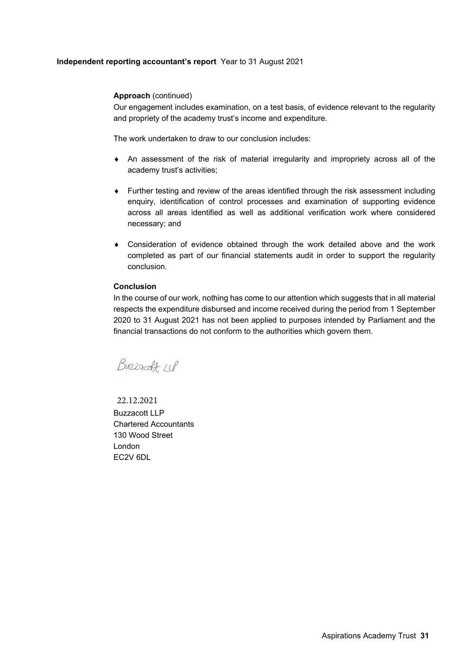# **Independent reporting accountant's report** Year to 31 August 2021

# **Approach** (continued)

Our engagement includes examination, on a test basis, of evidence relevant to the regularity and propriety of the academy trust's income and expenditure.

The work undertaken to draw to our conclusion includes:

- An assessment of the risk of material irregularity and impropriety across all of the academy trust's activities;
- Further testing and review of the areas identified through the risk assessment including enquiry, identification of control processes and examination of supporting evidence across all areas identified as well as additional verification work where considered necessary; and
- Consideration of evidence obtained through the work detailed above and the work completed as part of our financial statements audit in order to support the regularity conclusion.

# **Conclusion**

In the course of our work, nothing has come to our attention which suggests that in all material respects the expenditure disbursed and income received during the period from 1 September 2020 to 31 August 2021 has not been applied to purposes intended by Parliament and the financial transactions do not conform to the authorities which govern them.

Buzzardt W

Buzzacott LLP Chartered Accountants 130 Wood Street London EC2V 6DL 22.12.2021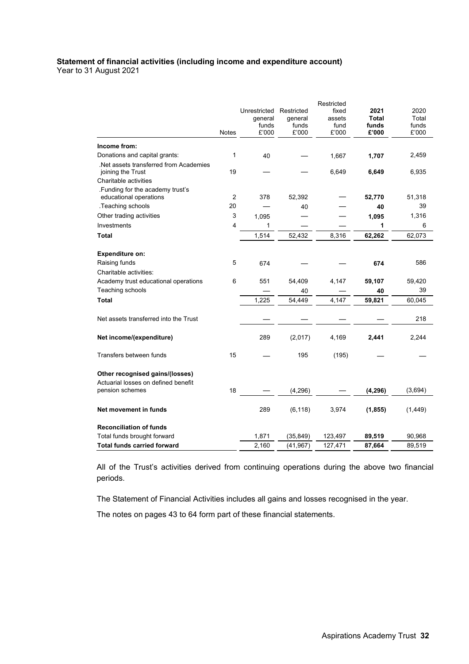### **Statement of financial activities (including income and expenditure account)**  Year to 31 August 2021

|                                                            |                |              |            | Restricted |              |          |
|------------------------------------------------------------|----------------|--------------|------------|------------|--------------|----------|
|                                                            |                | Unrestricted | Restricted | fixed      | 2021         | 2020     |
|                                                            |                | general      | general    | assets     | <b>Total</b> | Total    |
|                                                            |                | funds        | funds      | fund       | funds        | funds    |
|                                                            | <b>Notes</b>   | £'000        | £'000      | £'000      | £'000        | £'000    |
| Income from:                                               |                |              |            |            |              |          |
| Donations and capital grants:                              | 1              | 40           |            | 1,667      | 1,707        | 2,459    |
| Net assets transferred from Academies<br>joining the Trust | 19             |              |            | 6,649      | 6,649        | 6,935    |
| Charitable activities                                      |                |              |            |            |              |          |
| Funding for the academy trust's<br>educational operations  | $\overline{2}$ | 378          | 52,392     |            | 52,770       | 51,318   |
| .Teaching schools                                          | 20             |              | 40         |            | 40           | 39       |
| Other trading activities                                   | 3              | 1,095        |            |            | 1,095        | 1,316    |
| Investments                                                | 4              | $\mathbf{1}$ |            |            | 1            | 6        |
| Total                                                      |                | 1,514        | 52,432     | 8,316      | 62,262       | 62,073   |
|                                                            |                |              |            |            |              |          |
| <b>Expenditure on:</b>                                     |                |              |            |            |              |          |
| Raising funds                                              | 5              | 674          |            |            | 674          | 586      |
| Charitable activities:                                     |                |              |            |            |              |          |
| Academy trust educational operations                       | 6              | 551          | 54,409     | 4,147      | 59,107       | 59,420   |
| Teaching schools                                           |                |              | 40         |            | 40           | 39       |
| <b>Total</b>                                               |                | 1,225        | 54,449     | 4,147      | 59,821       | 60,045   |
|                                                            |                |              |            |            |              |          |
| Net assets transferred into the Trust                      |                |              |            |            |              | 218      |
|                                                            |                |              |            |            |              |          |
| Net income/(expenditure)                                   |                | 289          | (2,017)    | 4,169      | 2,441        | 2,244    |
| Transfers between funds                                    | 15             |              | 195        | (195)      |              |          |
| Other recognised gains/(losses)                            |                |              |            |            |              |          |
| Actuarial losses on defined benefit                        |                |              |            |            |              |          |
| pension schemes                                            | 18             |              | (4, 296)   |            | (4, 296)     | (3,694)  |
| Net movement in funds                                      |                | 289          | (6, 118)   | 3,974      | (1, 855)     | (1, 449) |
|                                                            |                |              |            |            |              |          |
| <b>Reconciliation of funds</b>                             |                |              |            |            |              |          |
| Total funds brought forward                                |                | 1,871        | (35, 849)  | 123,497    | 89,519       | 90,968   |
| <b>Total funds carried forward</b>                         |                | 2,160        | (41, 967)  | 127,471    | 87,664       | 89,519   |

All of the Trust's activities derived from continuing operations during the above two financial periods.

The Statement of Financial Activities includes all gains and losses recognised in the year.

The notes on pages 43 to 64 form part of these financial statements.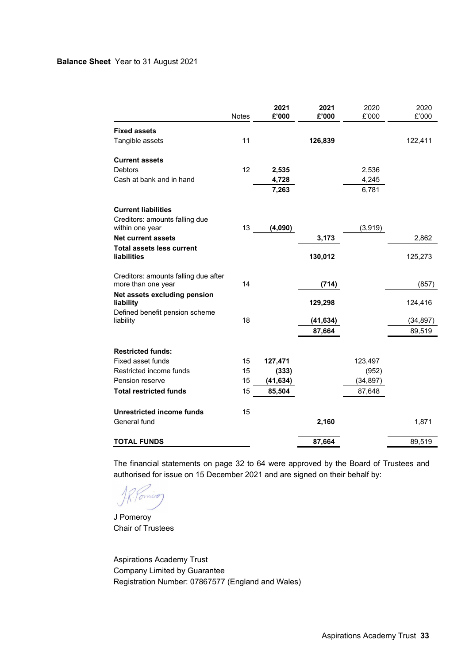# **Balance Sheet** Year to 31 August 2021

|                                                            | <b>Notes</b> | 2021<br>£'000 | 2021<br>£'000 | 2020<br>£'000 | 2020<br>£'000 |
|------------------------------------------------------------|--------------|---------------|---------------|---------------|---------------|
| <b>Fixed assets</b>                                        |              |               |               |               |               |
| Tangible assets                                            | 11           |               | 126,839       |               | 122,411       |
| <b>Current assets</b>                                      |              |               |               |               |               |
| <b>Debtors</b>                                             | 12           | 2,535         |               | 2,536         |               |
| Cash at bank and in hand                                   |              | 4,728         |               | 4,245         |               |
|                                                            |              | 7,263         |               | 6,781         |               |
| <b>Current liabilities</b>                                 |              |               |               |               |               |
| Creditors: amounts falling due                             |              |               |               |               |               |
| within one year                                            | 13           | (4,090)       |               | (3,919)       |               |
| <b>Net current assets</b>                                  |              |               | 3,173         |               | 2,862         |
| <b>Total assets less current</b><br><b>liabilities</b>     |              |               | 130,012       |               | 125,273       |
| Creditors: amounts falling due after<br>more than one year | 14           |               | (714)         |               | (857)         |
| Net assets excluding pension<br>liability                  |              |               | 129,298       |               | 124,416       |
| Defined benefit pension scheme                             |              |               |               |               |               |
| liability                                                  | 18           |               | (41, 634)     |               | (34, 897)     |
|                                                            |              |               | 87,664        |               | 89,519        |
| <b>Restricted funds:</b>                                   |              |               |               |               |               |
| <b>Fixed asset funds</b>                                   | 15           | 127,471       |               | 123,497       |               |
| Restricted income funds                                    | 15           | (333)         |               | (952)         |               |
| <b>Pension reserve</b>                                     | 15           | (41, 634)     |               | (34, 897)     |               |
| <b>Total restricted funds</b>                              | 15           | 85,504        |               | 87,648        |               |
| <b>Unrestricted income funds</b>                           | 15           |               |               |               |               |
| General fund                                               |              |               | 2,160         |               | 1,871         |
| <b>TOTAL FUNDS</b>                                         |              |               | 87,664        |               | 89,519        |

The financial statements on page 32 to 64 were approved by the Board of Trustees and authorised for issue on 15 December 2021 and are signed on their behalf by:

Vomico

J Pomeroy Chair of Trustees

Aspirations Academy Trust Company Limited by Guarantee Registration Number: 07867577 (England and Wales)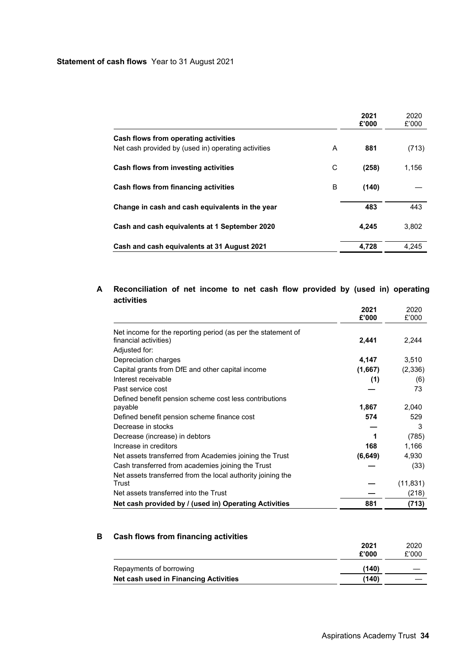|                                                                                             |   | 2021<br>£'000 | 2020<br>£'000 |
|---------------------------------------------------------------------------------------------|---|---------------|---------------|
| Cash flows from operating activities<br>Net cash provided by (used in) operating activities | A | 881           | (713)         |
| Cash flows from investing activities                                                        | С | (258)         | 1.156         |
| Cash flows from financing activities                                                        | B | (140)         |               |
| Change in cash and cash equivalents in the year                                             |   | 483           | 443           |
| Cash and cash equivalents at 1 September 2020                                               |   | 4.245         | 3.802         |
| Cash and cash equivalents at 31 August 2021                                                 |   | 4.728         | 4.245         |

# **A Reconciliation of net income to net cash flow provided by (used in) operating activities**

|                                                              | 2021     | 2020      |
|--------------------------------------------------------------|----------|-----------|
|                                                              | £'000    | £'000     |
| Net income for the reporting period (as per the statement of |          |           |
| financial activities)                                        | 2,441    | 2,244     |
| Adjusted for:                                                |          |           |
| Depreciation charges                                         | 4,147    | 3,510     |
| Capital grants from DfE and other capital income             | (1,667)  | (2,336)   |
| Interest receivable                                          | (1)      | (6)       |
| Past service cost                                            |          | 73        |
| Defined benefit pension scheme cost less contributions       |          |           |
| payable                                                      | 1,867    | 2,040     |
| Defined benefit pension scheme finance cost                  | 574      | 529       |
| Decrease in stocks                                           |          | 3         |
| Decrease (increase) in debtors                               | 1        | (785)     |
| Increase in creditors                                        | 168      | 1,166     |
| Net assets transferred from Academies joining the Trust      | (6, 649) | 4,930     |
| Cash transferred from academies joining the Trust            |          | (33)      |
| Net assets transferred from the local authority joining the  |          |           |
| Trust                                                        |          | (11, 831) |
| Net assets transferred into the Trust                        |          | (218)     |
| Net cash provided by / (used in) Operating Activities        | 881      | (713)     |

# **B Cash flows from financing activities**

|                                       | 2021<br>£'000 | 2020<br>£'000 |
|---------------------------------------|---------------|---------------|
| Repayments of borrowing               | (140)         |               |
| Net cash used in Financing Activities | (140)         |               |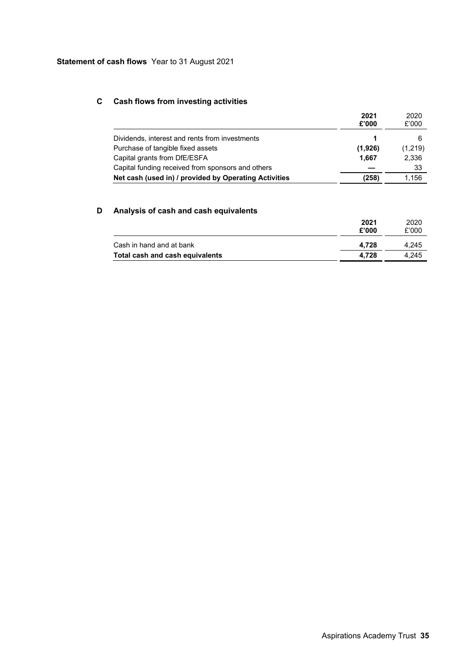# **C Cash flows from investing activities**

|                                                       | 2021<br>£'000 | 2020<br>£'000 |
|-------------------------------------------------------|---------------|---------------|
| Dividends, interest and rents from investments        |               |               |
| Purchase of tangible fixed assets                     | (1,926)       | (1,219)       |
| Capital grants from DfE/ESFA                          | 1.667         | 2,336         |
| Capital funding received from sponsors and others     |               | 33            |
| Net cash (used in) / provided by Operating Activities | (258)         | 1.156         |

# **D Analysis of cash and cash equivalents**

|                                 | 2021<br>£'000 | 2020<br>£'000 |
|---------------------------------|---------------|---------------|
| Cash in hand and at bank        | 4.728         | 4.245         |
| Total cash and cash equivalents | 4.728         | 4.245         |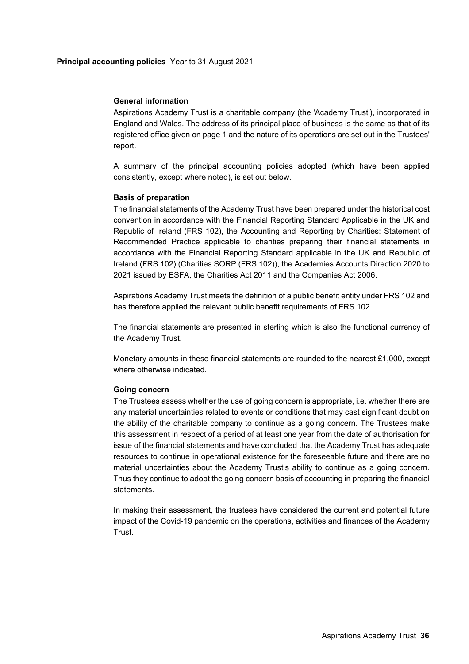# **General information**

Aspirations Academy Trust is a charitable company (the 'Academy Trust'), incorporated in England and Wales. The address of its principal place of business is the same as that of its registered office given on page 1 and the nature of its operations are set out in the Trustees' report.

A summary of the principal accounting policies adopted (which have been applied consistently, except where noted), is set out below.

# **Basis of preparation**

The financial statements of the Academy Trust have been prepared under the historical cost convention in accordance with the Financial Reporting Standard Applicable in the UK and Republic of Ireland (FRS 102), the Accounting and Reporting by Charities: Statement of Recommended Practice applicable to charities preparing their financial statements in accordance with the Financial Reporting Standard applicable in the UK and Republic of Ireland (FRS 102) (Charities SORP (FRS 102)), the Academies Accounts Direction 2020 to 2021 issued by ESFA, the Charities Act 2011 and the Companies Act 2006.

Aspirations Academy Trust meets the definition of a public benefit entity under FRS 102 and has therefore applied the relevant public benefit requirements of FRS 102.

The financial statements are presented in sterling which is also the functional currency of the Academy Trust.

Monetary amounts in these financial statements are rounded to the nearest  $£1,000$ , except where otherwise indicated.

### **Going concern**

The Trustees assess whether the use of going concern is appropriate, i.e. whether there are any material uncertainties related to events or conditions that may cast significant doubt on the ability of the charitable company to continue as a going concern. The Trustees make this assessment in respect of a period of at least one year from the date of authorisation for issue of the financial statements and have concluded that the Academy Trust has adequate resources to continue in operational existence for the foreseeable future and there are no material uncertainties about the Academy Trust's ability to continue as a going concern. Thus they continue to adopt the going concern basis of accounting in preparing the financial statements.

In making their assessment, the trustees have considered the current and potential future impact of the Covid-19 pandemic on the operations, activities and finances of the Academy Trust.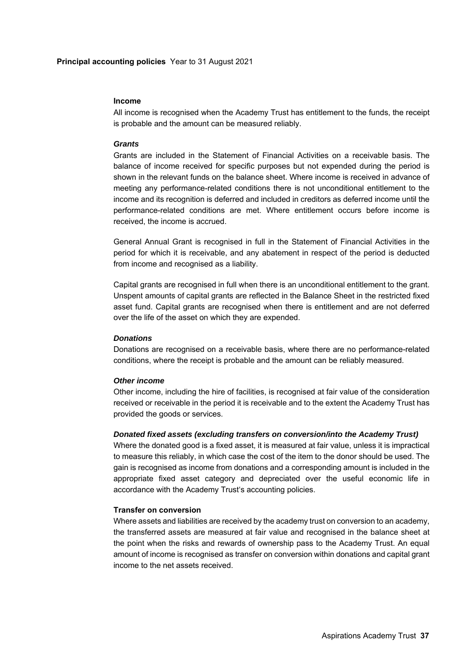### **Income**

All income is recognised when the Academy Trust has entitlement to the funds, the receipt is probable and the amount can be measured reliably.

### *Grants*

Grants are included in the Statement of Financial Activities on a receivable basis. The balance of income received for specific purposes but not expended during the period is shown in the relevant funds on the balance sheet. Where income is received in advance of meeting any performance-related conditions there is not unconditional entitlement to the income and its recognition is deferred and included in creditors as deferred income until the performance-related conditions are met. Where entitlement occurs before income is received, the income is accrued.

General Annual Grant is recognised in full in the Statement of Financial Activities in the period for which it is receivable, and any abatement in respect of the period is deducted from income and recognised as a liability.

Capital grants are recognised in full when there is an unconditional entitlement to the grant. Unspent amounts of capital grants are reflected in the Balance Sheet in the restricted fixed asset fund. Capital grants are recognised when there is entitlement and are not deferred over the life of the asset on which they are expended.

#### *Donations*

Donations are recognised on a receivable basis, where there are no performance-related conditions, where the receipt is probable and the amount can be reliably measured.

### *Other income*

Other income, including the hire of facilities, is recognised at fair value of the consideration received or receivable in the period it is receivable and to the extent the Academy Trust has provided the goods or services.

#### *Donated fixed assets (excluding transfers on conversion/into the Academy Trust)*

Where the donated good is a fixed asset, it is measured at fair value, unless it is impractical to measure this reliably, in which case the cost of the item to the donor should be used. The gain is recognised as income from donations and a corresponding amount is included in the appropriate fixed asset category and depreciated over the useful economic life in accordance with the Academy Trust's accounting policies.

# **Transfer on conversion**

Where assets and liabilities are received by the academy trust on conversion to an academy, the transferred assets are measured at fair value and recognised in the balance sheet at the point when the risks and rewards of ownership pass to the Academy Trust. An equal amount of income is recognised as transfer on conversion within donations and capital grant income to the net assets received.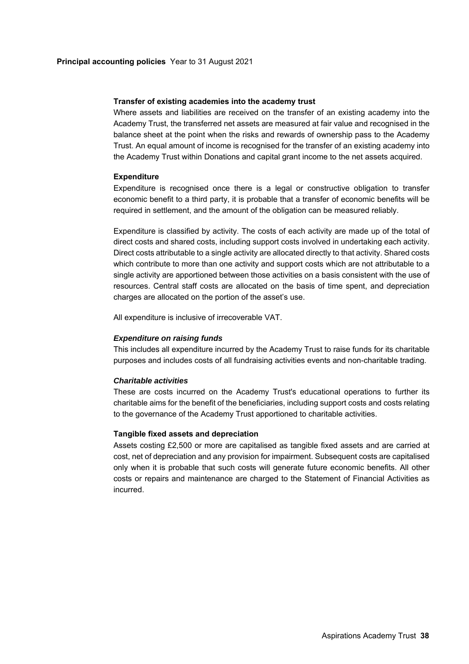### **Transfer of existing academies into the academy trust**

Where assets and liabilities are received on the transfer of an existing academy into the Academy Trust, the transferred net assets are measured at fair value and recognised in the balance sheet at the point when the risks and rewards of ownership pass to the Academy Trust. An equal amount of income is recognised for the transfer of an existing academy into the Academy Trust within Donations and capital grant income to the net assets acquired.

### **Expenditure**

Expenditure is recognised once there is a legal or constructive obligation to transfer economic benefit to a third party, it is probable that a transfer of economic benefits will be required in settlement, and the amount of the obligation can be measured reliably.

Expenditure is classified by activity. The costs of each activity are made up of the total of direct costs and shared costs, including support costs involved in undertaking each activity. Direct costs attributable to a single activity are allocated directly to that activity. Shared costs which contribute to more than one activity and support costs which are not attributable to a single activity are apportioned between those activities on a basis consistent with the use of resources. Central staff costs are allocated on the basis of time spent, and depreciation charges are allocated on the portion of the asset's use.

All expenditure is inclusive of irrecoverable VAT.

#### *Expenditure on raising funds*

This includes all expenditure incurred by the Academy Trust to raise funds for its charitable purposes and includes costs of all fundraising activities events and non-charitable trading.

#### *Charitable activities*

These are costs incurred on the Academy Trust's educational operations to further its charitable aims for the benefit of the beneficiaries, including support costs and costs relating to the governance of the Academy Trust apportioned to charitable activities.

### **Tangible fixed assets and depreciation**

Assets costing £2,500 or more are capitalised as tangible fixed assets and are carried at cost, net of depreciation and any provision for impairment. Subsequent costs are capitalised only when it is probable that such costs will generate future economic benefits. All other costs or repairs and maintenance are charged to the Statement of Financial Activities as incurred.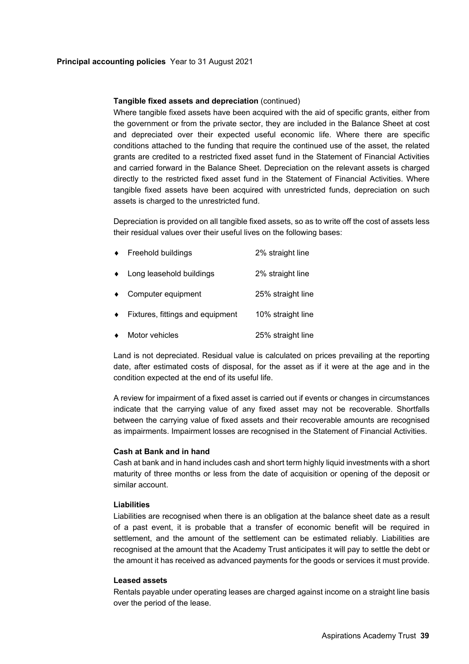# **Tangible fixed assets and depreciation** (continued)

Where tangible fixed assets have been acquired with the aid of specific grants, either from the government or from the private sector, they are included in the Balance Sheet at cost and depreciated over their expected useful economic life. Where there are specific conditions attached to the funding that require the continued use of the asset, the related grants are credited to a restricted fixed asset fund in the Statement of Financial Activities and carried forward in the Balance Sheet. Depreciation on the relevant assets is charged directly to the restricted fixed asset fund in the Statement of Financial Activities. Where tangible fixed assets have been acquired with unrestricted funds, depreciation on such assets is charged to the unrestricted fund.

Depreciation is provided on all tangible fixed assets, so as to write off the cost of assets less their residual values over their useful lives on the following bases:

| $\bullet$ | Freehold buildings               | 2% straight line  |
|-----------|----------------------------------|-------------------|
|           | Long leasehold buildings         | 2% straight line  |
|           | Computer equipment               | 25% straight line |
|           | Fixtures, fittings and equipment | 10% straight line |
|           | Motor vehicles                   | 25% straight line |

Land is not depreciated. Residual value is calculated on prices prevailing at the reporting date, after estimated costs of disposal, for the asset as if it were at the age and in the condition expected at the end of its useful life.

A review for impairment of a fixed asset is carried out if events or changes in circumstances indicate that the carrying value of any fixed asset may not be recoverable. Shortfalls between the carrying value of fixed assets and their recoverable amounts are recognised as impairments. Impairment losses are recognised in the Statement of Financial Activities.

### **Cash at Bank and in hand**

Cash at bank and in hand includes cash and short term highly liquid investments with a short maturity of three months or less from the date of acquisition or opening of the deposit or similar account.

# **Liabilities**

Liabilities are recognised when there is an obligation at the balance sheet date as a result of a past event, it is probable that a transfer of economic benefit will be required in settlement, and the amount of the settlement can be estimated reliably. Liabilities are recognised at the amount that the Academy Trust anticipates it will pay to settle the debt or the amount it has received as advanced payments for the goods or services it must provide.

### **Leased assets**

Rentals payable under operating leases are charged against income on a straight line basis over the period of the lease.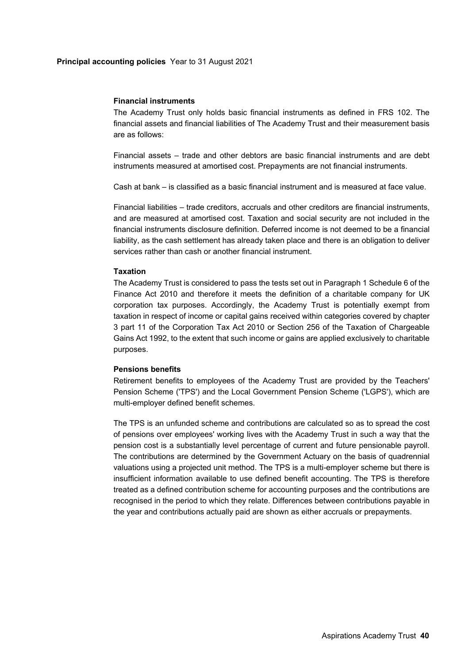### **Financial instruments**

The Academy Trust only holds basic financial instruments as defined in FRS 102. The financial assets and financial liabilities of The Academy Trust and their measurement basis are as follows:

Financial assets – trade and other debtors are basic financial instruments and are debt instruments measured at amortised cost. Prepayments are not financial instruments.

Cash at bank – is classified as a basic financial instrument and is measured at face value.

Financial liabilities – trade creditors, accruals and other creditors are financial instruments, and are measured at amortised cost. Taxation and social security are not included in the financial instruments disclosure definition. Deferred income is not deemed to be a financial liability, as the cash settlement has already taken place and there is an obligation to deliver services rather than cash or another financial instrument.

### **Taxation**

The Academy Trust is considered to pass the tests set out in Paragraph 1 Schedule 6 of the Finance Act 2010 and therefore it meets the definition of a charitable company for UK corporation tax purposes. Accordingly, the Academy Trust is potentially exempt from taxation in respect of income or capital gains received within categories covered by chapter 3 part 11 of the Corporation Tax Act 2010 or Section 256 of the Taxation of Chargeable Gains Act 1992, to the extent that such income or gains are applied exclusively to charitable purposes.

#### **Pensions benefits**

Retirement benefits to employees of the Academy Trust are provided by the Teachers' Pension Scheme ('TPS') and the Local Government Pension Scheme ('LGPS'), which are multi-employer defined benefit schemes.

The TPS is an unfunded scheme and contributions are calculated so as to spread the cost of pensions over employees' working lives with the Academy Trust in such a way that the pension cost is a substantially level percentage of current and future pensionable payroll. The contributions are determined by the Government Actuary on the basis of quadrennial valuations using a projected unit method. The TPS is a multi-employer scheme but there is insufficient information available to use defined benefit accounting. The TPS is therefore treated as a defined contribution scheme for accounting purposes and the contributions are recognised in the period to which they relate. Differences between contributions payable in the year and contributions actually paid are shown as either accruals or prepayments.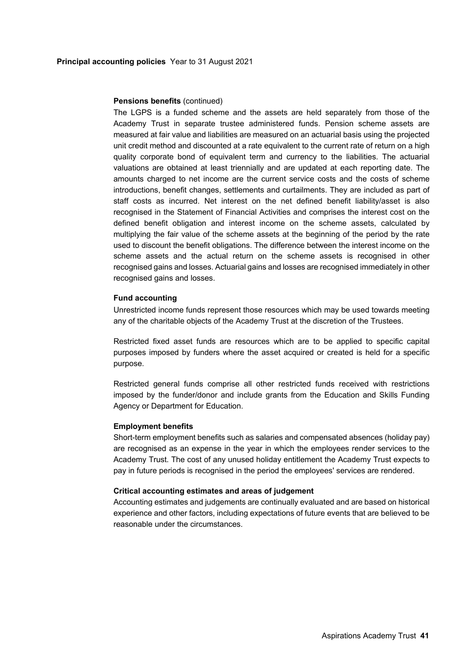#### **Pensions benefits** (continued)

The LGPS is a funded scheme and the assets are held separately from those of the Academy Trust in separate trustee administered funds. Pension scheme assets are measured at fair value and liabilities are measured on an actuarial basis using the projected unit credit method and discounted at a rate equivalent to the current rate of return on a high quality corporate bond of equivalent term and currency to the liabilities. The actuarial valuations are obtained at least triennially and are updated at each reporting date. The amounts charged to net income are the current service costs and the costs of scheme introductions, benefit changes, settlements and curtailments. They are included as part of staff costs as incurred. Net interest on the net defined benefit liability/asset is also recognised in the Statement of Financial Activities and comprises the interest cost on the defined benefit obligation and interest income on the scheme assets, calculated by multiplying the fair value of the scheme assets at the beginning of the period by the rate used to discount the benefit obligations. The difference between the interest income on the scheme assets and the actual return on the scheme assets is recognised in other recognised gains and losses. Actuarial gains and losses are recognised immediately in other recognised gains and losses.

### **Fund accounting**

Unrestricted income funds represent those resources which may be used towards meeting any of the charitable objects of the Academy Trust at the discretion of the Trustees.

Restricted fixed asset funds are resources which are to be applied to specific capital purposes imposed by funders where the asset acquired or created is held for a specific purpose.

Restricted general funds comprise all other restricted funds received with restrictions imposed by the funder/donor and include grants from the Education and Skills Funding Agency or Department for Education.

### **Employment benefits**

Short-term employment benefits such as salaries and compensated absences (holiday pay) are recognised as an expense in the year in which the employees render services to the Academy Trust. The cost of any unused holiday entitlement the Academy Trust expects to pay in future periods is recognised in the period the employees' services are rendered.

#### **Critical accounting estimates and areas of judgement**

Accounting estimates and judgements are continually evaluated and are based on historical experience and other factors, including expectations of future events that are believed to be reasonable under the circumstances.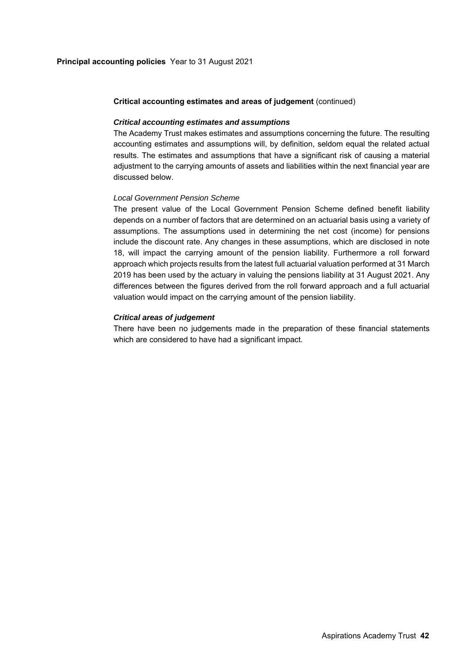### **Critical accounting estimates and areas of judgement** (continued)

### *Critical accounting estimates and assumptions*

The Academy Trust makes estimates and assumptions concerning the future. The resulting accounting estimates and assumptions will, by definition, seldom equal the related actual results. The estimates and assumptions that have a significant risk of causing a material adjustment to the carrying amounts of assets and liabilities within the next financial year are discussed below.

### *Local Government Pension Scheme*

The present value of the Local Government Pension Scheme defined benefit liability depends on a number of factors that are determined on an actuarial basis using a variety of assumptions. The assumptions used in determining the net cost (income) for pensions include the discount rate. Any changes in these assumptions, which are disclosed in note 18, will impact the carrying amount of the pension liability. Furthermore a roll forward approach which projects results from the latest full actuarial valuation performed at 31 March 2019 has been used by the actuary in valuing the pensions liability at 31 August 2021. Any differences between the figures derived from the roll forward approach and a full actuarial valuation would impact on the carrying amount of the pension liability.

### *Critical areas of judgement*

There have been no judgements made in the preparation of these financial statements which are considered to have had a significant impact.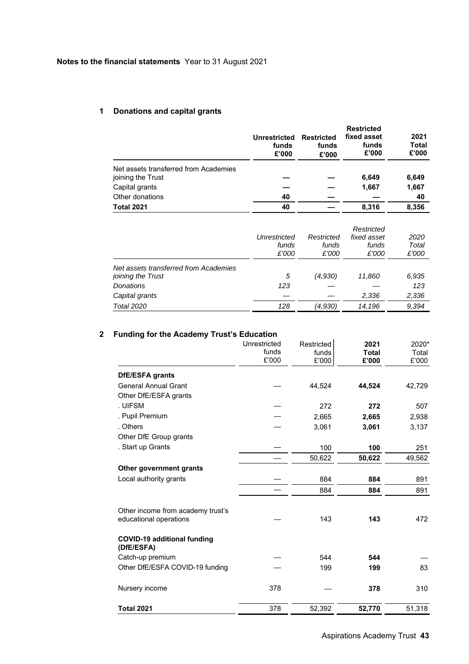# **1 Donations and capital grants**

|                                                            | Unrestricted<br>funds<br>£'000 | <b>Restricted</b><br>funds<br>£'000 | <b>Restricted</b><br>fixed asset<br>funds<br>£'000 | 2021<br><b>Total</b><br>£'000 |
|------------------------------------------------------------|--------------------------------|-------------------------------------|----------------------------------------------------|-------------------------------|
| Net assets transferred from Academies<br>joining the Trust |                                |                                     | 6,649                                              | 6,649                         |
| Capital grants                                             |                                |                                     | 1,667                                              | 1,667                         |
| Other donations                                            | 40                             |                                     |                                                    | 40                            |
| <b>Total 2021</b>                                          | 40                             |                                     | 8.316                                              | 8.356                         |

|                                       | Unrestricted<br>funds<br>£'000 | Restricted<br>funds<br>£'000 | Restricted<br>fixed asset<br>funds<br>£'000 | 2020<br>Total<br>£'000 |
|---------------------------------------|--------------------------------|------------------------------|---------------------------------------------|------------------------|
| Net assets transferred from Academies |                                |                              |                                             |                        |
| joining the Trust                     | 5                              | (4,930)                      | 11,860                                      | 6,935                  |
| <b>Donations</b>                      | 123                            |                              |                                             | 123                    |
| Capital grants                        |                                |                              | 2,336                                       | 2,336                  |
| <b>Total 2020</b>                     | 128                            | (4,930)                      | 14,196                                      | 9.394                  |

# **2 Funding for the Academy Trust's Education**

|                                                             | Unrestricted<br>funds<br>£'000 | Restricted<br>funds<br>£'000 | 2021<br><b>Total</b><br>£'000 | 2020*<br>Total<br>£'000 |
|-------------------------------------------------------------|--------------------------------|------------------------------|-------------------------------|-------------------------|
| DfE/ESFA grants                                             |                                |                              |                               |                         |
| <b>General Annual Grant</b>                                 |                                | 44,524                       | 44,524                        | 42,729                  |
| Other DfE/ESFA grants                                       |                                |                              |                               |                         |
| . UIFSM                                                     |                                | 272                          | 272                           | 507                     |
| . Pupil Premium                                             |                                | 2,665                        | 2,665                         | 2,938                   |
| . Others                                                    |                                | 3,061                        | 3,061                         | 3,137                   |
| Other DfE Group grants                                      |                                |                              |                               |                         |
| . Start up Grants                                           |                                | 100                          | 100                           | 251                     |
|                                                             |                                | 50,622                       | 50,622                        | 49,562                  |
| Other government grants                                     |                                |                              |                               |                         |
| Local authority grants                                      |                                | 884                          | 884                           | 891                     |
|                                                             |                                | 884                          | 884                           | 891                     |
| Other income from academy trust's<br>educational operations |                                | 143                          | 143                           | 472                     |
| <b>COVID-19 additional funding</b><br>(DfE/ESFA)            |                                |                              |                               |                         |
| Catch-up premium                                            |                                | 544                          | 544                           |                         |
| Other DfE/ESFA COVID-19 funding                             |                                | 199                          | 199                           | 83                      |
| Nursery income                                              | 378                            |                              | 378                           | 310                     |
| <b>Total 2021</b>                                           | 378                            | 52,392                       | 52,770                        | 51,318                  |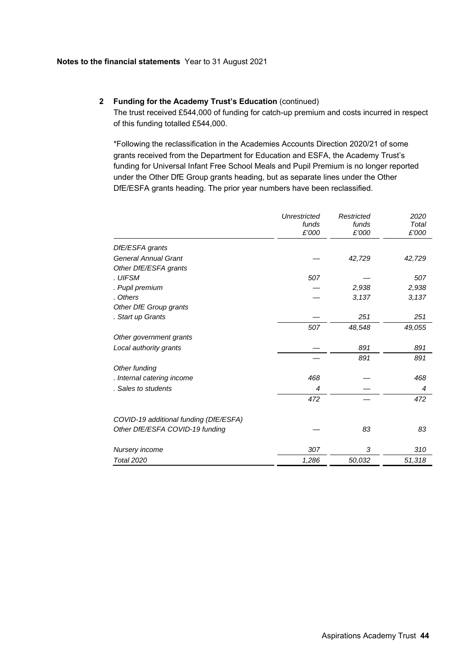# **2 Funding for the Academy Trust's Education** (continued)

The trust received £544,000 of funding for catch-up premium and costs incurred in respect of this funding totalled £544,000.

\*Following the reclassification in the Academies Accounts Direction 2020/21 of some grants received from the Department for Education and ESFA, the Academy Trust's funding for Universal Infant Free School Meals and Pupil Premium is no longer reported under the Other DfE Group grants heading, but as separate lines under the Other DfE/ESFA grants heading. The prior year numbers have been reclassified.

|                                        | Unrestricted | Restricted | 2020   |
|----------------------------------------|--------------|------------|--------|
|                                        | funds        | funds      | Total  |
|                                        | £'000        | £'000      | £'000  |
| DfE/ESFA grants                        |              |            |        |
| <b>General Annual Grant</b>            |              | 42,729     | 42,729 |
| Other DfE/ESFA grants                  |              |            |        |
| . UIFSM                                | 507          |            | 507    |
| . Pupil premium                        |              | 2,938      | 2,938  |
| . Others                               |              | 3,137      | 3,137  |
| Other DfE Group grants                 |              |            |        |
| . Start up Grants                      |              | 251        | 251    |
|                                        | 507          | 48,548     | 49,055 |
| Other government grants                |              |            |        |
| Local authority grants                 |              | 891        | 891    |
|                                        |              | 891        | 891    |
| Other funding                          |              |            |        |
| . Internal catering income             | 468          |            | 468    |
| . Sales to students                    | 4            |            | 4      |
|                                        | 472          |            | 472    |
| COVID-19 additional funding (DfE/ESFA) |              |            |        |
| Other DfE/ESFA COVID-19 funding        |              | 83         | 83     |
| Nursery income                         | 307          | 3          | 310    |
| <b>Total 2020</b>                      | 1,286        | 50,032     | 51,318 |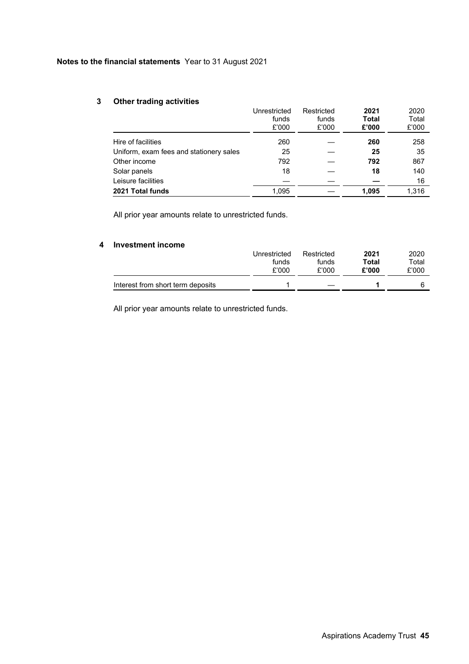# **3 Other trading activities**

| $\sim$                                  | Unrestricted<br>funds<br>£'000 | Restricted<br>funds<br>£'000 | 2021<br><b>Total</b><br>£'000 | 2020<br>Total<br>£'000 |
|-----------------------------------------|--------------------------------|------------------------------|-------------------------------|------------------------|
| Hire of facilities                      | 260                            |                              | 260                           | 258                    |
| Uniform, exam fees and stationery sales | 25                             |                              | 25                            | 35                     |
| Other income                            | 792                            |                              | 792                           | 867                    |
| Solar panels                            | 18                             |                              | 18                            | 140                    |
| Leisure facilities                      |                                |                              |                               | 16                     |
| 2021 Total funds                        | 1,095                          |                              | 1.095                         | 1,316                  |

All prior year amounts relate to unrestricted funds.

# **4 Investment income**

|                                   | Unrestricted | Restricted | 2021  | 2020  |
|-----------------------------------|--------------|------------|-------|-------|
|                                   | funds        | funds      | Total | Total |
|                                   | £'000        | £'000      | £'000 | £'000 |
| Interest from short term deposits |              |            |       |       |

All prior year amounts relate to unrestricted funds.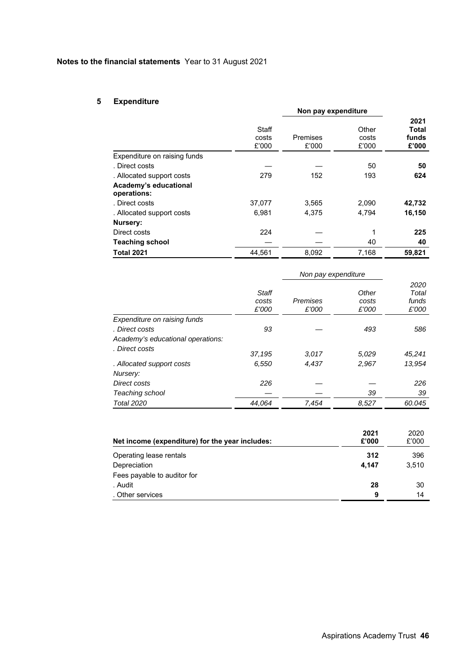# **5 Expenditure**

|                              |        | Non pay expenditure |       |              |
|------------------------------|--------|---------------------|-------|--------------|
|                              |        |                     |       | 2021         |
|                              | Staff  |                     | Other | <b>Total</b> |
|                              | costs  | Premises            | costs | funds        |
|                              | £'000  | £'000               | £'000 | £'000        |
| Expenditure on raising funds |        |                     |       |              |
| . Direct costs               |        |                     | 50    | 50           |
| . Allocated support costs    | 279    | 152                 | 193   | 624          |
| Academy's educational        |        |                     |       |              |
| operations:                  |        |                     |       |              |
| . Direct costs               | 37,077 | 3,565               | 2,090 | 42,732       |
| . Allocated support costs    | 6,981  | 4,375               | 4,794 | 16,150       |
| Nursery:                     |        |                     |       |              |
| Direct costs                 | 224    |                     | 1     | 225          |
| <b>Teaching school</b>       |        |                     | 40    | 40           |
| <b>Total 2021</b>            | 44.561 | 8,092               | 7,168 | 59,821       |

|                                   | Staff<br>costs<br>£'000 | Premises<br>£'000 | Other<br>costs<br>£'000 | 2020<br>Total<br>funds<br>£'000 |
|-----------------------------------|-------------------------|-------------------|-------------------------|---------------------------------|
| Expenditure on raising funds      |                         |                   |                         |                                 |
| . Direct costs                    | 93                      |                   | 493                     | 586                             |
| Academy's educational operations: |                         |                   |                         |                                 |
| . Direct costs                    | 37,195                  | 3,017             | 5,029                   | 45.241                          |
| . Allocated support costs         | 6,550                   | 4,437             | 2,967                   | 13,954                          |
| Nursery:                          |                         |                   |                         |                                 |
| Direct costs                      | 226                     |                   |                         | 226                             |
| Teaching school                   |                         |                   | 39                      | 39                              |
| <b>Total 2020</b>                 | 44,064                  | 7,454             | 8,527                   | 60.045                          |

| Net income (expenditure) for the year includes: | 2021<br>£'000 | 2020<br>£'000 |
|-------------------------------------------------|---------------|---------------|
| Operating lease rentals                         | 312           | 396           |
| Depreciation                                    | 4.147         | 3.510         |
| Fees payable to auditor for                     |               |               |
| . Audit                                         | 28            | 30            |
| . Other services                                | 9             | 14            |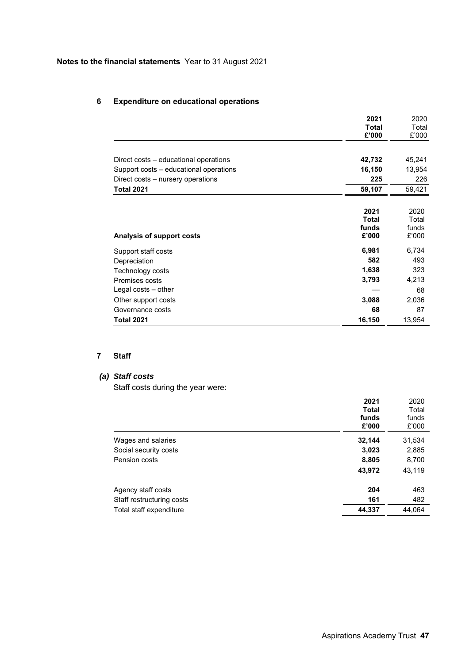# **6 Expenditure on educational operations**

|                                        | 2021         | 2020   |
|----------------------------------------|--------------|--------|
|                                        | <b>Total</b> | Total  |
|                                        | £'000        | £'000  |
|                                        |              |        |
| Direct costs – educational operations  | 42,732       | 45,241 |
| Support costs – educational operations | 16,150       | 13,954 |
| Direct costs – nursery operations      | 225          | 226    |
| <b>Total 2021</b>                      | 59,107       | 59,421 |
|                                        |              |        |
|                                        | 2021         | 2020   |
|                                        | <b>Total</b> | Total  |
|                                        | funds        | funds  |
| Analysis of support costs              | £'000        | £'000  |
| Support staff costs                    | 6,981        | 6,734  |
| Depreciation                           | 582          | 493    |
| Technology costs                       | 1,638        | 323    |
| Premises costs                         | 3,793        | 4,213  |
| Legal costs - other                    |              | 68     |
| Other support costs                    | 3,088        | 2,036  |
| Governance costs                       | 68           | 87     |
| <b>Total 2021</b>                      | 16,150       | 13,954 |

# **7 Staff**

# *(a) Staff costs*

Staff costs during the year were:

|                           | 2021         | 2020   |
|---------------------------|--------------|--------|
|                           | <b>Total</b> | Total  |
|                           | funds        | funds  |
|                           | £'000        | £'000  |
| Wages and salaries        | 32,144       | 31,534 |
| Social security costs     | 3,023        | 2,885  |
| Pension costs             | 8,805        | 8,700  |
|                           | 43,972       | 43,119 |
| Agency staff costs        | 204          | 463    |
| Staff restructuring costs | 161          | 482    |
| Total staff expenditure   | 44,337       | 44,064 |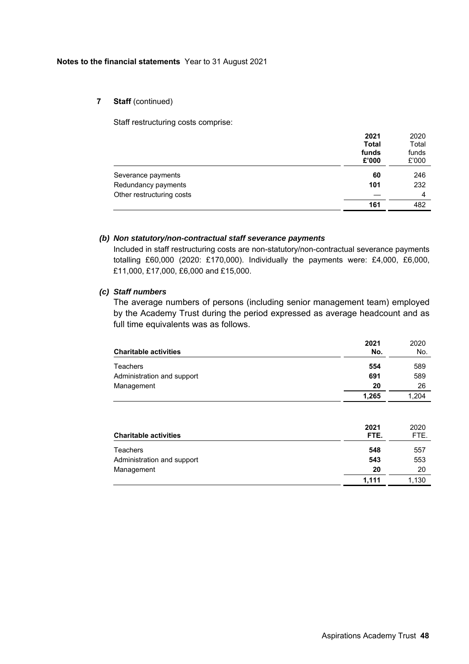# **7** Staff (continued)

Staff restructuring costs comprise:

|                           | 2021<br><b>Total</b><br>funds<br>£'000 | 2020<br>Total<br>funds<br>£'000 |
|---------------------------|----------------------------------------|---------------------------------|
| Severance payments        | 60                                     | 246                             |
| Redundancy payments       | 101                                    | 232                             |
| Other restructuring costs |                                        | 4                               |
|                           | 161                                    | 482                             |

# *(b) Non statutory/non-contractual staff severance payments*

Included in staff restructuring costs are non-statutory/non-contractual severance payments totalling £60,000 (2020: £170,000). Individually the payments were: £4,000, £6,000, £11,000, £17,000, £6,000 and £15,000.

# *(c) Staff numbers*

The average numbers of persons (including senior management team) employed by the Academy Trust during the period expressed as average headcount and as full time equivalents was as follows.

|                              | 2021         | 2020         |
|------------------------------|--------------|--------------|
| <b>Charitable activities</b> | No.          | No.          |
| Teachers                     | 554          | 589          |
| Administration and support   | 691          | 589          |
| Management                   | 20           | 26           |
|                              | 1,265        | 1,204        |
| <b>Charitable activities</b> | 2021<br>FTE. | 2020<br>FTE. |
| Teachers                     | 548          | 557          |
| Administration and support   | 543          | 553          |
| Management                   | 20           | 20           |
|                              | 1,111        | 1,130        |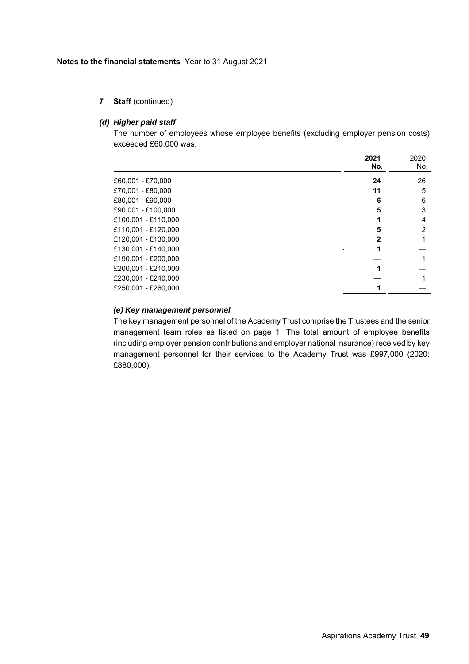**7 Staff** (continued)

### *(d) Higher paid staff*

The number of employees whose employee benefits (excluding employer pension costs) exceeded £60,000 was:

|                     | 2021         | 2020 |
|---------------------|--------------|------|
|                     | No.          | No.  |
| £60,001 - £70,000   | 24           | 26   |
| £70,001 - £80,000   | 11           | 5    |
| £80,001 - £90,000   | 6            | 6    |
| £90,001 - £100,000  | 5            | 3    |
| £100,001 - £110,000 |              | 4    |
| £110,001 - £120,000 | 5            | 2    |
| £120,001 - £130,000 | $\mathbf{2}$ |      |
| £130,001 - £140,000 |              |      |
| £190,001 - £200,000 |              |      |
| £200.001 - £210.000 |              |      |
| £230,001 - £240,000 |              |      |
| £250.001 - £260.000 |              |      |

# *(e) Key management personnel*

The key management personnel of the Academy Trust comprise the Trustees and the senior management team roles as listed on page 1. The total amount of employee benefits (including employer pension contributions and employer national insurance) received by key management personnel for their services to the Academy Trust was £997,000 (2020: £880,000).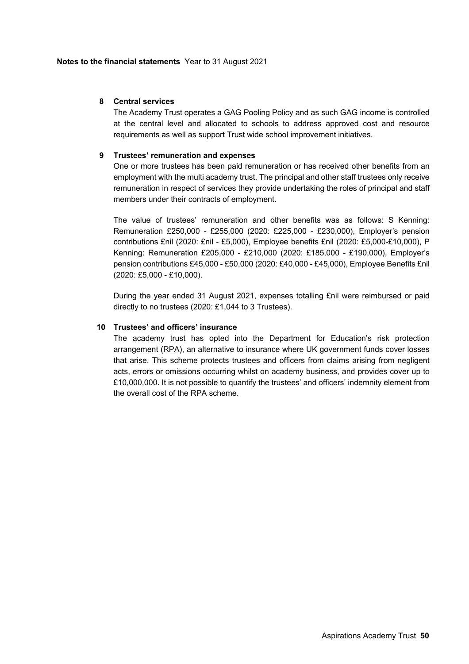# **8 Central services**

The Academy Trust operates a GAG Pooling Policy and as such GAG income is controlled at the central level and allocated to schools to address approved cost and resource requirements as well as support Trust wide school improvement initiatives.

# **9 Trustees' remuneration and expenses**

One or more trustees has been paid remuneration or has received other benefits from an employment with the multi academy trust. The principal and other staff trustees only receive remuneration in respect of services they provide undertaking the roles of principal and staff members under their contracts of employment.

The value of trustees' remuneration and other benefits was as follows: S Kenning: Remuneration £250,000 - £255,000 (2020: £225,000 - £230,000), Employer's pension contributions £nil (2020: £nil - £5,000), Employee benefits £nil (2020: £5,000-£10,000), P Kenning: Remuneration £205,000 - £210,000 (2020: £185,000 - £190,000), Employer's pension contributions £45,000 - £50,000 (2020: £40,000 - £45,000), Employee Benefits £nil (2020: £5,000 - £10,000).

During the year ended 31 August 2021, expenses totalling £nil were reimbursed or paid directly to no trustees (2020: £1,044 to 3 Trustees).

# **10 Trustees' and officers' insurance**

The academy trust has opted into the Department for Education's risk protection arrangement (RPA), an alternative to insurance where UK government funds cover losses that arise. This scheme protects trustees and officers from claims arising from negligent acts, errors or omissions occurring whilst on academy business, and provides cover up to £10,000,000. It is not possible to quantify the trustees' and officers' indemnity element from the overall cost of the RPA scheme.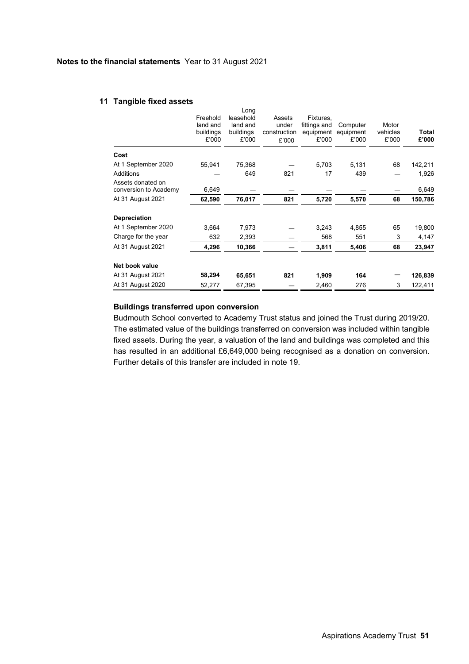### **11 Tangible fixed assets**

|                                            | Freehold<br>land and<br>buildings<br>£'000 | Long<br>leasehold<br>land and<br>buildings<br>£'000 | Assets<br>under<br>construction<br>£'000 | Fixtures,<br>fittings and<br>equipment<br>£'000 | Computer<br>equipment<br>£'000 | Motor<br>vehicles<br>£'000 | Total<br>£'000 |
|--------------------------------------------|--------------------------------------------|-----------------------------------------------------|------------------------------------------|-------------------------------------------------|--------------------------------|----------------------------|----------------|
| Cost                                       |                                            |                                                     |                                          |                                                 |                                |                            |                |
| At 1 September 2020                        | 55,941                                     | 75,368                                              |                                          | 5,703                                           | 5,131                          | 68                         | 142,211        |
| <b>Additions</b>                           |                                            | 649                                                 | 821                                      | 17                                              | 439                            |                            | 1,926          |
| Assets donated on<br>conversion to Academy | 6,649                                      |                                                     |                                          |                                                 |                                |                            | 6,649          |
| At 31 August 2021                          | 62,590                                     | 76,017                                              | 821                                      | 5,720                                           | 5,570                          | 68                         | 150,786        |
| Depreciation                               |                                            |                                                     |                                          |                                                 |                                |                            |                |
| At 1 September 2020                        | 3,664                                      | 7,973                                               |                                          | 3,243                                           | 4,855                          | 65                         | 19,800         |
| Charge for the year                        | 632                                        | 2,393                                               |                                          | 568                                             | 551                            | 3                          | 4,147          |
| At 31 August 2021                          | 4,296                                      | 10,366                                              |                                          | 3,811                                           | 5,406                          | 68                         | 23,947         |
| Net book value                             |                                            |                                                     |                                          |                                                 |                                |                            |                |
| At 31 August 2021                          | 58,294                                     | 65,651                                              | 821                                      | 1,909                                           | 164                            |                            | 126,839        |
| At 31 August 2020                          | 52,277                                     | 67,395                                              |                                          | 2,460                                           | 276                            | 3                          | 122,411        |

# **Buildings transferred upon conversion**

Budmouth School converted to Academy Trust status and joined the Trust during 2019/20. The estimated value of the buildings transferred on conversion was included within tangible fixed assets. During the year, a valuation of the land and buildings was completed and this has resulted in an additional £6,649,000 being recognised as a donation on conversion. Further details of this transfer are included in note 19.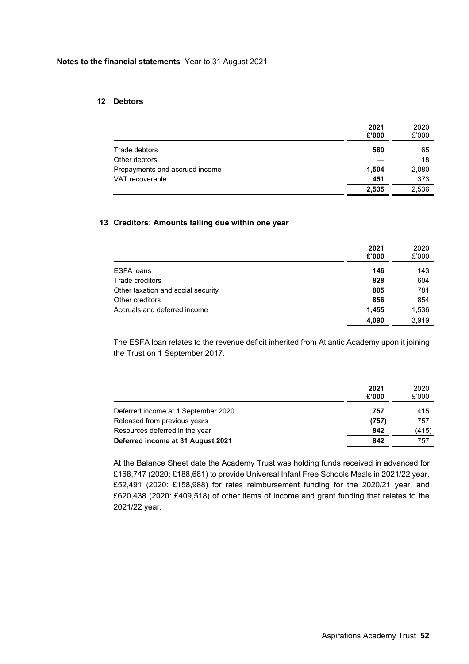### **12 Debtors**

|                                | 2021<br>£'000 | 2020<br>£'000 |
|--------------------------------|---------------|---------------|
| Trade debtors                  | 580           | 65            |
| Other debtors                  |               | 18            |
| Prepayments and accrued income | 1,504         | 2,080         |
| VAT recoverable                | 451           | 373           |
|                                | 2,535         | 2,536         |

# **13 Creditors: Amounts falling due within one year**

|                                    | 2021<br>£'000 | 2020<br>£'000 |
|------------------------------------|---------------|---------------|
| <b>ESFA loans</b>                  | 146           | 143           |
| Trade creditors                    | 828           | 604           |
| Other taxation and social security | 805           | 781           |
| Other creditors                    | 856           | 854           |
| Accruals and deferred income       | 1,455         | 1,536         |
|                                    | 4.090         | 3.919         |

The ESFA loan relates to the revenue deficit inherited from Atlantic Academy upon it joining the Trust on 1 September 2017.

|                                     | 2021<br>£'000 | 2020<br>£'000 |
|-------------------------------------|---------------|---------------|
| Deferred income at 1 September 2020 | 757           | 415           |
| Released from previous years        | (757)         | 757           |
| Resources deferred in the year      | 842           | (415)         |
| Deferred income at 31 August 2021   | 842           | 757           |

At the Balance Sheet date the Academy Trust was holding funds received in advanced for £168,747 (2020: £188,681) to provide Universal Infant Free Schools Meals in 2021/22 year. £52,491 (2020: £158,988) for rates reimbursement funding for the 2020/21 year, and £620,438 (2020: £409,518) of other items of income and grant funding that relates to the 2021/22 year.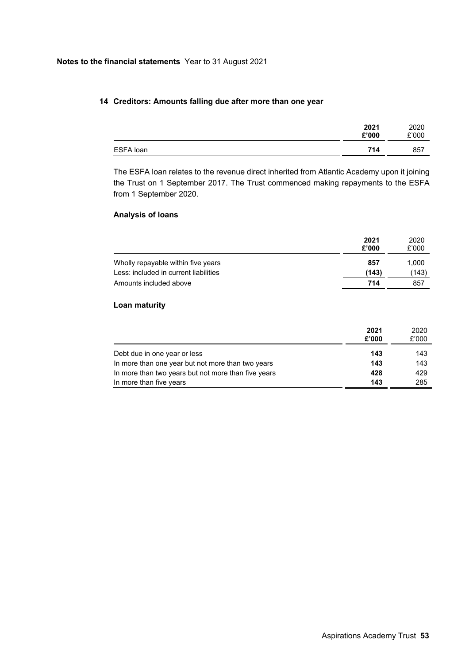# **14 Creditors: Amounts falling due after more than one year**

|           | 2021<br>£'000 | 2020<br>£'000 |
|-----------|---------------|---------------|
| ESFA loan | 714           | 857           |
|           |               |               |

The ESFA loan relates to the revenue direct inherited from Atlantic Academy upon it joining the Trust on 1 September 2017. The Trust commenced making repayments to the ESFA from 1 September 2020.

# **Analysis of loans**

|                                       | 2021<br>£'000 | 2020<br>£'000 |
|---------------------------------------|---------------|---------------|
| Wholly repayable within five years    | 857           | 1,000         |
| Less: included in current liabilities | (143)         | (143)         |
| Amounts included above                | 714           | 857           |

# **Loan maturity**

|                                                     | 2021<br>£'000 | 2020<br>£'000 |
|-----------------------------------------------------|---------------|---------------|
| Debt due in one year or less                        | 143           | 143           |
| In more than one year but not more than two years   | 143           | 143           |
| In more than two years but not more than five years | 428           | 429           |
| In more than five years                             | 143           | 285           |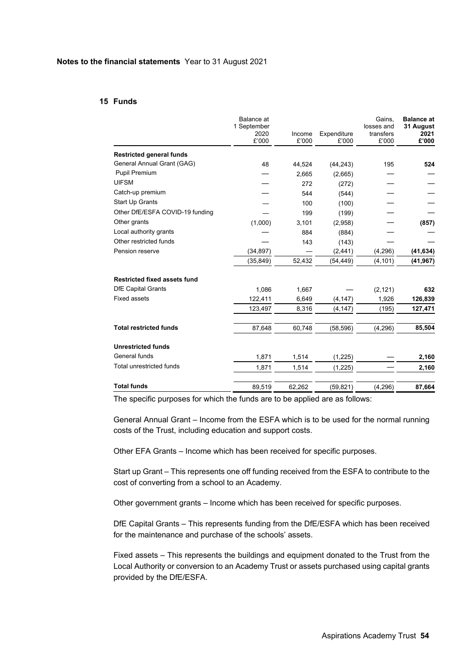### **15 Funds**

|                                     | <b>Balance</b> at<br>1 September<br>2020<br>£'000 | Income<br>£'000 | Expenditure<br>£'000 | Gains,<br>losses and<br>transfers<br>£'000 | <b>Balance at</b><br>31 August<br>2021<br>£'000 |
|-------------------------------------|---------------------------------------------------|-----------------|----------------------|--------------------------------------------|-------------------------------------------------|
|                                     |                                                   |                 |                      |                                            |                                                 |
| <b>Restricted general funds</b>     |                                                   |                 |                      |                                            |                                                 |
| General Annual Grant (GAG)          | 48                                                | 44,524          | (44, 243)            | 195                                        | 524                                             |
| Pupil Premium                       |                                                   | 2,665           | (2,665)              |                                            |                                                 |
| <b>UIFSM</b>                        |                                                   | 272             | (272)                |                                            |                                                 |
| Catch-up premium                    |                                                   | 544             | (544)                |                                            |                                                 |
| <b>Start Up Grants</b>              |                                                   | 100             | (100)                |                                            |                                                 |
| Other DfE/ESFA COVID-19 funding     |                                                   | 199             | (199)                |                                            |                                                 |
| Other grants                        | (1,000)                                           | 3,101           | (2,958)              |                                            | (857)                                           |
| Local authority grants              |                                                   | 884             | (884)                |                                            |                                                 |
| Other restricted funds              |                                                   | 143             | (143)                |                                            |                                                 |
| Pension reserve                     | (34, 897)                                         |                 | (2, 441)             | (4,296)                                    | (41, 634)                                       |
|                                     | (35, 849)                                         | 52,432          | (54, 449)            | (4, 101)                                   | (41, 967)                                       |
| <b>Restricted fixed assets fund</b> |                                                   |                 |                      |                                            |                                                 |
| <b>DfE Capital Grants</b>           | 1.086                                             | 1,667           |                      | (2, 121)                                   | 632                                             |
| <b>Fixed assets</b>                 | 122,411                                           | 6,649           | (4, 147)             | 1,926                                      | 126,839                                         |
|                                     | 123,497                                           | 8,316           | (4, 147)             | (195)                                      | 127,471                                         |
| <b>Total restricted funds</b>       | 87,648                                            | 60,748          | (58, 596)            | (4, 296)                                   | 85,504                                          |
| <b>Unrestricted funds</b>           |                                                   |                 |                      |                                            |                                                 |
| General funds                       | 1,871                                             | 1,514           | (1,225)              |                                            | 2,160                                           |
| Total unrestricted funds            | 1,871                                             | 1,514           | (1,225)              |                                            | 2,160                                           |
| <b>Total funds</b>                  | 89,519                                            | 62,262          | (59, 821)            | (4, 296)                                   | 87,664                                          |

The specific purposes for which the funds are to be applied are as follows:

General Annual Grant – Income from the ESFA which is to be used for the normal running costs of the Trust, including education and support costs.

Other EFA Grants – Income which has been received for specific purposes.

Start up Grant – This represents one off funding received from the ESFA to contribute to the cost of converting from a school to an Academy.

Other government grants – Income which has been received for specific purposes.

DfE Capital Grants – This represents funding from the DfE/ESFA which has been received for the maintenance and purchase of the schools' assets.

Fixed assets – This represents the buildings and equipment donated to the Trust from the Local Authority or conversion to an Academy Trust or assets purchased using capital grants provided by the DfE/ESFA.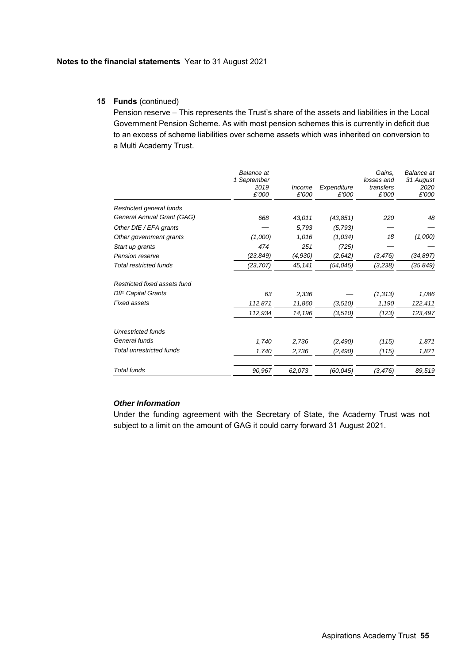# **15 Funds** (continued)

Pension reserve – This represents the Trust's share of the assets and liabilities in the Local Government Pension Scheme. As with most pension schemes this is currently in deficit due to an excess of scheme liabilities over scheme assets which was inherited on conversion to a Multi Academy Trust.

|                                 | Balance at<br>1 September<br>2019<br>£'000 | Income<br>£'000 | Expenditure<br>£'000 | Gains,<br>losses and<br>transfers<br>£'000 | <b>Balance</b> at<br>31 August<br>2020<br>£'000 |
|---------------------------------|--------------------------------------------|-----------------|----------------------|--------------------------------------------|-------------------------------------------------|
| Restricted general funds        |                                            |                 |                      |                                            |                                                 |
| General Annual Grant (GAG)      | 668                                        | 43,011          | (43, 851)            | 220                                        | 48                                              |
| Other DfE / EFA grants          |                                            | 5,793           | (5, 793)             |                                            |                                                 |
| Other government grants         | (1,000)                                    | 1,016           | (1,034)              | 18                                         | (1,000)                                         |
| Start up grants                 | 474                                        | 251             | (725)                |                                            |                                                 |
| <b>Pension reserve</b>          | (23, 849)                                  | (4,930)         | (2,642)              | (3,476)                                    | (34,897)                                        |
| <b>Total restricted funds</b>   | (23, 707)                                  | 45,141          | (54, 045)            | (3,238)                                    | (35,849)                                        |
| Restricted fixed assets fund    |                                            |                 |                      |                                            |                                                 |
| <b>DfE Capital Grants</b>       | 63                                         | 2,336           |                      | (1, 313)                                   | 1,086                                           |
| <b>Fixed assets</b>             | 112,871                                    | 11,860          | (3, 510)             | 1,190                                      | 122,411                                         |
|                                 | 112,934                                    | 14,196          | (3,510)              | (123)                                      | 123,497                                         |
| <b>Unrestricted funds</b>       |                                            |                 |                      |                                            |                                                 |
| General funds                   | 1,740                                      | 2,736           | (2, 490)             | (115)                                      | 1,871                                           |
| <b>Total unrestricted funds</b> | 1,740                                      | 2,736           | (2, 490)             | (115)                                      | 1,871                                           |
| <b>Total funds</b>              | 90,967                                     | 62,073          | (60, 045)            | (3,476)                                    | 89,519                                          |

# *Other Information*

Under the funding agreement with the Secretary of State, the Academy Trust was not subject to a limit on the amount of GAG it could carry forward 31 August 2021.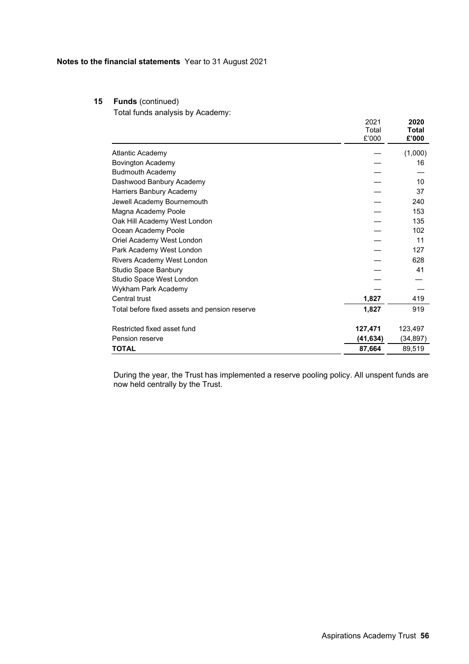# **15 Funds** (continued)

Total funds analysis by Academy:

|                                               | 2021<br>Total<br>£'000 | 2020<br>Total<br>£'000 |
|-----------------------------------------------|------------------------|------------------------|
| Atlantic Academy                              |                        | (1,000)                |
| <b>Bovington Academy</b>                      |                        | 16                     |
| <b>Budmouth Academy</b>                       |                        |                        |
| Dashwood Banbury Academy                      |                        | 10                     |
| Harriers Banbury Academy                      |                        | 37                     |
| Jewell Academy Bournemouth                    |                        | 240                    |
| Magna Academy Poole                           |                        | 153                    |
| Oak Hill Academy West London                  |                        | 135                    |
| Ocean Academy Poole                           |                        | 102                    |
| Oriel Academy West London                     |                        | 11                     |
| Park Academy West London                      |                        | 127                    |
| Rivers Academy West London                    |                        | 628                    |
| Studio Space Banbury                          |                        | 41                     |
| Studio Space West London                      |                        |                        |
| Wykham Park Academy                           |                        |                        |
| Central trust                                 | 1,827                  | 419                    |
| Total before fixed assets and pension reserve | 1,827                  | 919                    |
| Restricted fixed asset fund                   | 127,471                | 123,497                |
| Pension reserve                               | (41, 634)              | (34, 897)              |
| <b>TOTAL</b>                                  | 87,664                 | 89,519                 |

During the year, the Trust has implemented a reserve pooling policy. All unspent funds are now held centrally by the Trust.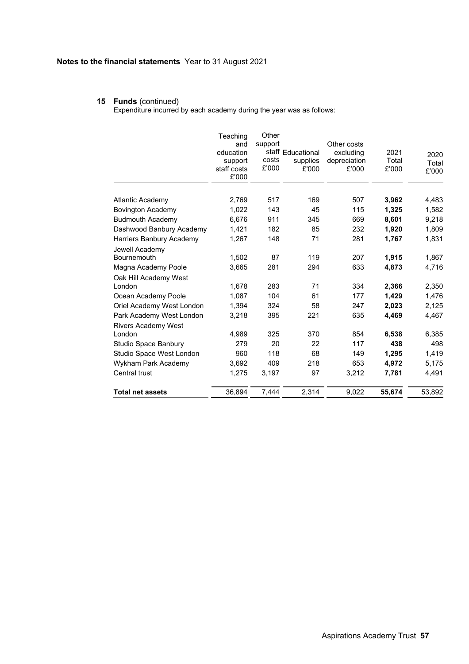### **15 Funds** (continued)

Expenditure incurred by each academy during the year was as follows:

|                                      | Teaching<br>and<br>education<br>support<br>staff costs<br>£'000 | Other<br>support<br>costs<br>£'000 | staff Educational<br>supplies<br>£'000 | Other costs<br>excluding<br>depreciation<br>£'000 | 2021<br>Total<br>£'000 | 2020<br>Total<br>£'000 |
|--------------------------------------|-----------------------------------------------------------------|------------------------------------|----------------------------------------|---------------------------------------------------|------------------------|------------------------|
| <b>Atlantic Academy</b>              | 2,769                                                           | 517                                | 169                                    | 507                                               | 3,962                  | 4,483                  |
| <b>Bovington Academy</b>             | 1,022                                                           | 143                                | 45                                     | 115                                               | 1,325                  | 1,582                  |
| <b>Budmouth Academy</b>              | 6.676                                                           | 911                                | 345                                    | 669                                               | 8,601                  | 9,218                  |
| Dashwood Banbury Academy             | 1,421                                                           | 182                                | 85                                     | 232                                               | 1,920                  | 1,809                  |
| Harriers Banbury Academy             | 1,267                                                           | 148                                | 71                                     | 281                                               | 1,767                  | 1,831                  |
| Jewell Academy<br>Bournemouth        | 1.502                                                           | 87                                 | 119                                    | 207                                               | 1,915                  | 1,867                  |
| Magna Academy Poole                  | 3,665                                                           | 281                                | 294                                    | 633                                               | 4,873                  | 4,716                  |
| Oak Hill Academy West<br>London      | 1.678                                                           | 283                                | 71                                     | 334                                               | 2,366                  | 2.350                  |
| Ocean Academy Poole                  | 1,087                                                           | 104                                | 61                                     | 177                                               | 1,429                  | 1,476                  |
| Oriel Academy West London            | 1,394                                                           | 324                                | 58                                     | 247                                               | 2,023                  | 2,125                  |
| Park Academy West London             | 3,218                                                           | 395                                | 221                                    | 635                                               | 4,469                  | 4,467                  |
| <b>Rivers Academy West</b><br>London | 4.989                                                           | 325                                | 370                                    | 854                                               | 6,538                  | 6,385                  |
| Studio Space Banbury                 | 279                                                             | 20                                 | 22                                     | 117                                               | 438                    | 498                    |
| Studio Space West London             | 960                                                             | 118                                | 68                                     | 149                                               | 1,295                  | 1,419                  |
| Wykham Park Academy                  | 3,692                                                           | 409                                | 218                                    | 653                                               | 4,972                  | 5,175                  |
| Central trust                        | 1,275                                                           | 3,197                              | 97                                     | 3,212                                             | 7,781                  | 4,491                  |
| <b>Total net assets</b>              | 36,894                                                          | 7,444                              | 2,314                                  | 9,022                                             | 55,674                 | 53,892                 |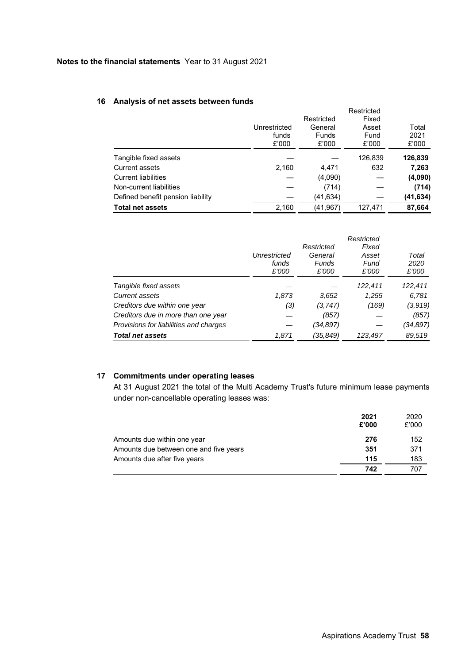# **16 Analysis of net assets between funds**

|                                   |              |              | Restricted |          |
|-----------------------------------|--------------|--------------|------------|----------|
|                                   |              | Restricted   | Fixed      |          |
|                                   | Unrestricted | General      | Asset      | Total    |
|                                   | funds        | <b>Funds</b> | Fund       | 2021     |
|                                   | £'000        | £'000        | £'000      | £'000    |
| Tangible fixed assets             |              |              | 126,839    | 126,839  |
| <b>Current assets</b>             | 2,160        | 4,471        | 632        | 7,263    |
| <b>Current liabilities</b>        |              | (4,090)      |            | (4,090)  |
| Non-current liabilities           |              | (714)        |            | (714)    |
| Defined benefit pension liability |              | (41,634)     |            | (41,634) |
| <b>Total net assets</b>           | 2,160        | (41,967)     | 127.471    | 87.664   |

|                                        | Unrestricted<br>funds<br>£'000 | Restricted<br>General<br>Funds<br>£'000 | Restricted<br>Fixed<br>Asset<br>Fund<br>£'000 | Total<br>2020<br>£'000 |
|----------------------------------------|--------------------------------|-----------------------------------------|-----------------------------------------------|------------------------|
| Tangible fixed assets                  |                                |                                         | 122,411                                       | 122,411                |
| Current assets                         | 1,873                          | 3,652                                   | 1,255                                         | 6,781                  |
| Creditors due within one year          | (3)                            | (3.747)                                 | (169)                                         | (3,919)                |
| Creditors due in more than one year    |                                | (857)                                   |                                               | (857)                  |
| Provisions for liabilities and charges |                                | (34,897)                                |                                               | (34,897)               |
| <b>Total net assets</b>                | 1,871                          | (35,849)                                | 123,497                                       | 89,519                 |

# **17 Commitments under operating leases**

At 31 August 2021 the total of the Multi Academy Trust's future minimum lease payments under non-cancellable operating leases was:

|                                        | 2021<br>£'000 | 2020<br>£'000 |
|----------------------------------------|---------------|---------------|
| Amounts due within one year            | 276           | 152           |
| Amounts due between one and five years | 351           | 371           |
| Amounts due after five years           | 115           | 183           |
|                                        | 742           | 707           |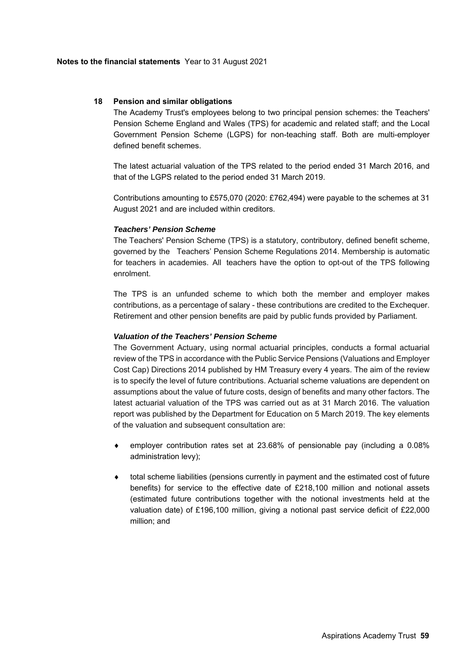### **18 Pension and similar obligations**

The Academy Trust's employees belong to two principal pension schemes: the Teachers' Pension Scheme England and Wales (TPS) for academic and related staff; and the Local Government Pension Scheme (LGPS) for non-teaching staff. Both are multi-employer defined benefit schemes.

The latest actuarial valuation of the TPS related to the period ended 31 March 2016, and that of the LGPS related to the period ended 31 March 2019.

Contributions amounting to £575,070 (2020: £762,494) were payable to the schemes at 31 August 2021 and are included within creditors.

### *Teachers' Pension Scheme*

The Teachers' Pension Scheme (TPS) is a statutory, contributory, defined benefit scheme, governed by the Teachers' Pension Scheme Regulations 2014. Membership is automatic for teachers in academies. All teachers have the option to opt-out of the TPS following enrolment.

The TPS is an unfunded scheme to which both the member and employer makes contributions, as a percentage of salary - these contributions are credited to the Exchequer. Retirement and other pension benefits are paid by public funds provided by Parliament.

### *Valuation of the Teachers' Pension Scheme*

The Government Actuary, using normal actuarial principles, conducts a formal actuarial review of the TPS in accordance with the Public Service Pensions (Valuations and Employer Cost Cap) Directions 2014 published by HM Treasury every 4 years. The aim of the review is to specify the level of future contributions. Actuarial scheme valuations are dependent on assumptions about the value of future costs, design of benefits and many other factors. The latest actuarial valuation of the TPS was carried out as at 31 March 2016. The valuation report was published by the Department for Education on 5 March 2019. The key elements of the valuation and subsequent consultation are:

- employer contribution rates set at 23.68% of pensionable pay (including a 0.08% administration levy);
- total scheme liabilities (pensions currently in payment and the estimated cost of future benefits) for service to the effective date of £218,100 million and notional assets (estimated future contributions together with the notional investments held at the valuation date) of £196,100 million, giving a notional past service deficit of £22,000 million; and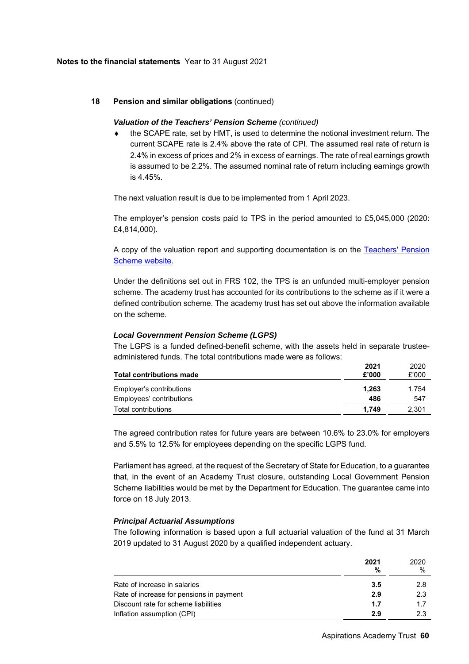# **18 Pension and similar obligations** (continued)

### *Valuation of the Teachers' Pension Scheme (continued)*

 the SCAPE rate, set by HMT, is used to determine the notional investment return. The current SCAPE rate is 2.4% above the rate of CPI. The assumed real rate of return is 2.4% in excess of prices and 2% in excess of earnings. The rate of real earnings growth is assumed to be 2.2%. The assumed nominal rate of return including earnings growth is 4.45%.

The next valuation result is due to be implemented from 1 April 2023.

The employer's pension costs paid to TPS in the period amounted to £5,045,000 (2020: £4,814,000).

A copy of the valuation report and supporting documentation is on the Teachers' Pension Scheme website.

Under the definitions set out in FRS 102, the TPS is an unfunded multi-employer pension scheme. The academy trust has accounted for its contributions to the scheme as if it were a defined contribution scheme. The academy trust has set out above the information available on the scheme.

### *Local Government Pension Scheme (LGPS)*

The LGPS is a funded defined-benefit scheme, with the assets held in separate trusteeadministered funds. The total contributions made were as follows:

| <b>Total contributions made</b> | 2021<br>£'000 | 2020<br>£'000 |
|---------------------------------|---------------|---------------|
| Employer's contributions        | 1.263         | 1.754         |
| Employees' contributions        | 486           | 547           |
| Total contributions             | 1.749         | 2,301         |

The agreed contribution rates for future years are between 10.6% to 23.0% for employers and 5.5% to 12.5% for employees depending on the specific LGPS fund.

Parliament has agreed, at the request of the Secretary of State for Education, to a guarantee that, in the event of an Academy Trust closure, outstanding Local Government Pension Scheme liabilities would be met by the Department for Education. The guarantee came into force on 18 July 2013.

# *Principal Actuarial Assumptions*

The following information is based upon a full actuarial valuation of the fund at 31 March 2019 updated to 31 August 2020 by a qualified independent actuary.

|                                          | 2021<br>% | 2020<br>$\%$ |
|------------------------------------------|-----------|--------------|
| Rate of increase in salaries             | 3.5       | 2.8          |
| Rate of increase for pensions in payment | 2.9       | 2.3          |
| Discount rate for scheme liabilities     | 1.7       | 17           |
| Inflation assumption (CPI)               | 2.9       | 2.3          |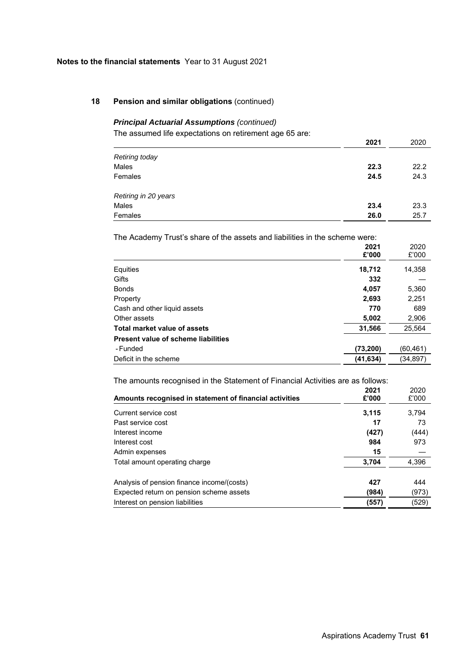# **18 Pension and similar obligations** (continued)

# *Principal Actuarial Assumptions (continued)*

The assumed life expectations on retirement age 65 are:

|                       | 2021 | 2020 |
|-----------------------|------|------|
| <b>Retiring today</b> |      |      |
| Males                 | 22.3 | 22.2 |
| Females               | 24.5 | 24.3 |
| Retiring in 20 years  |      |      |
| Males                 | 23.4 | 23.3 |
| Females               | 26.0 | 25.7 |

The Academy Trust's share of the assets and liabilities in the scheme were:

|                                            | 2021<br>£'000 | 2020<br>£'000 |
|--------------------------------------------|---------------|---------------|
| Equities                                   | 18,712        | 14,358        |
| Gifts                                      | 332           |               |
| <b>Bonds</b>                               | 4,057         | 5,360         |
| Property                                   | 2,693         | 2,251         |
| Cash and other liquid assets               | 770           | 689           |
| Other assets                               | 5,002         | 2,906         |
| Total market value of assets               | 31,566        | 25,564        |
| <b>Present value of scheme liabilities</b> |               |               |
| - Funded                                   | (73, 200)     | (60, 461)     |
| Deficit in the scheme                      | (41, 634)     | (34, 897)     |

The amounts recognised in the Statement of Financial Activities are as follows:

| THE differential recognised in the etatement of Financial Activities are as follows. |       |       |
|--------------------------------------------------------------------------------------|-------|-------|
|                                                                                      | 2021  | 2020  |
| Amounts recognised in statement of financial activities                              | £'000 | £'000 |
| Current service cost                                                                 | 3.115 | 3.794 |
| Past service cost                                                                    | 17    | 73    |
| Interest income                                                                      | (427) | (444) |
| Interest cost                                                                        | 984   | 973   |
| Admin expenses                                                                       | 15    |       |
| Total amount operating charge                                                        | 3.704 | 4,396 |
| Analysis of pension finance income/(costs)                                           | 427   | 444   |
| Expected return on pension scheme assets                                             | (984) | (973) |
| Interest on pension liabilities                                                      | (557) | (529) |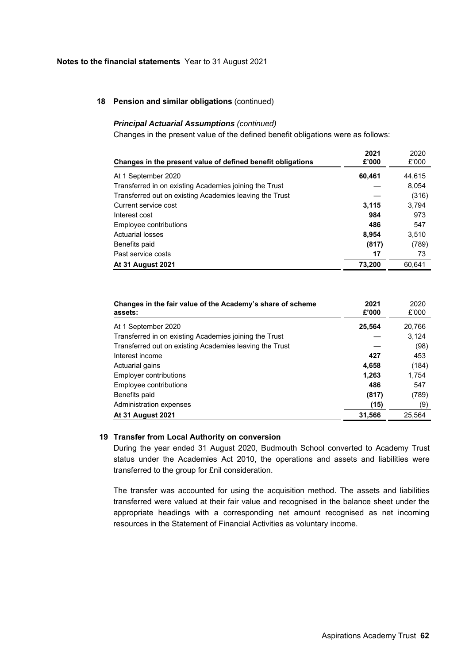### **18 Pension and similar obligations** (continued)

### *Principal Actuarial Assumptions (continued)*

Changes in the present value of the defined benefit obligations were as follows:

| Changes in the present value of defined benefit obligations | 2021<br>£'000 | 2020<br>£'000 |
|-------------------------------------------------------------|---------------|---------------|
| At 1 September 2020                                         | 60,461        | 44.615        |
| Transferred in on existing Academies joining the Trust      |               | 8,054         |
| Transferred out on existing Academies leaving the Trust     |               | (316)         |
| Current service cost                                        | 3,115         | 3.794         |
| Interest cost                                               | 984           | 973           |
| Employee contributions                                      | 486           | 547           |
| <b>Actuarial losses</b>                                     | 8,954         | 3,510         |
| Benefits paid                                               | (817)         | (789)         |
| Past service costs                                          | 17            | 73            |
| <b>At 31 August 2021</b>                                    | 73,200        | 60.641        |

| Changes in the fair value of the Academy's share of scheme<br>assets: | 2021<br>£'000 | 2020<br>£'000 |
|-----------------------------------------------------------------------|---------------|---------------|
| At 1 September 2020                                                   | 25,564        | 20,766        |
| Transferred in on existing Academies joining the Trust                |               | 3.124         |
| Transferred out on existing Academies leaving the Trust               |               | (98)          |
| Interest income                                                       | 427           | 453           |
| Actuarial gains                                                       | 4,658         | (184)         |
| Employer contributions                                                | 1,263         | 1.754         |
| Employee contributions                                                | 486           | 547           |
| Benefits paid                                                         | (817)         | (789)         |
| Administration expenses                                               | (15)          | (9)           |
| <b>At 31 August 2021</b>                                              | 31,566        | 25.564        |

# **19 Transfer from Local Authority on conversion**

During the year ended 31 August 2020, Budmouth School converted to Academy Trust status under the Academies Act 2010, the operations and assets and liabilities were transferred to the group for £nil consideration.

The transfer was accounted for using the acquisition method. The assets and liabilities transferred were valued at their fair value and recognised in the balance sheet under the appropriate headings with a corresponding net amount recognised as net incoming resources in the Statement of Financial Activities as voluntary income.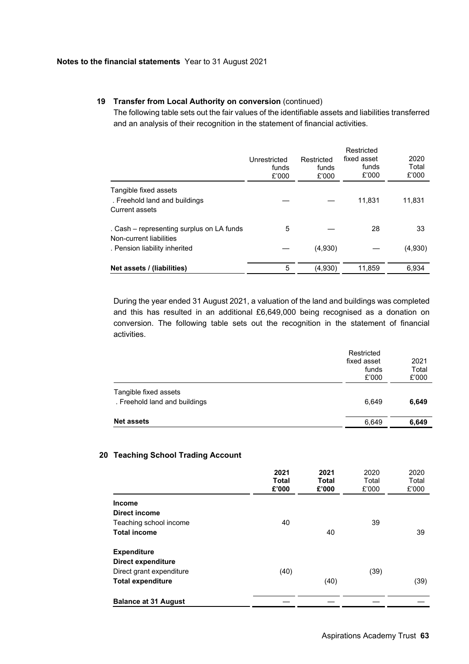# **19 Transfer from Local Authority on conversion** (continued)

The following table sets out the fair values of the identifiable assets and liabilities transferred and an analysis of their recognition in the statement of financial activities.

|                                                                                 | Unrestricted<br>funds<br>£'000 | Restricted<br>funds<br>£'000 | Restricted<br>fixed asset<br>funds<br>£'000 | 2020<br>Total<br>£'000 |
|---------------------------------------------------------------------------------|--------------------------------|------------------------------|---------------------------------------------|------------------------|
| Tangible fixed assets<br>. Freehold land and buildings<br><b>Current assets</b> |                                |                              | 11,831                                      | 11,831                 |
| . Cash – representing surplus on LA funds<br>Non-current liabilities            | 5                              |                              | 28                                          | 33                     |
| . Pension liability inherited                                                   |                                | (4,930)                      |                                             | (4,930)                |
| Net assets / (liabilities)                                                      | 5                              | (4,930)                      | 11,859                                      | 6.934                  |

During the year ended 31 August 2021, a valuation of the land and buildings was completed and this has resulted in an additional £6,649,000 being recognised as a donation on conversion. The following table sets out the recognition in the statement of financial activities.

|                                                        | Restricted<br>fixed asset<br>funds<br>£'000 | 2021<br>Total<br>£'000 |
|--------------------------------------------------------|---------------------------------------------|------------------------|
| Tangible fixed assets<br>. Freehold land and buildings | 6.649                                       | 6,649                  |
| <b>Net assets</b>                                      | 6.649                                       | 6,649                  |

# **20 Teaching School Trading Account**

|                             | 2021<br><b>Total</b><br>£'000 | 2021<br><b>Total</b><br>£'000 | 2020<br>Total<br>£'000 | 2020<br>Total<br>£'000 |
|-----------------------------|-------------------------------|-------------------------------|------------------------|------------------------|
| <b>Income</b>               |                               |                               |                        |                        |
| Direct income               |                               |                               |                        |                        |
| Teaching school income      | 40                            |                               | 39                     |                        |
| <b>Total income</b>         |                               | 40                            |                        | 39                     |
| <b>Expenditure</b>          |                               |                               |                        |                        |
| Direct expenditure          |                               |                               |                        |                        |
| Direct grant expenditure    | (40)                          |                               | (39)                   |                        |
| <b>Total expenditure</b>    |                               | (40)                          |                        | (39)                   |
| <b>Balance at 31 August</b> |                               |                               |                        |                        |